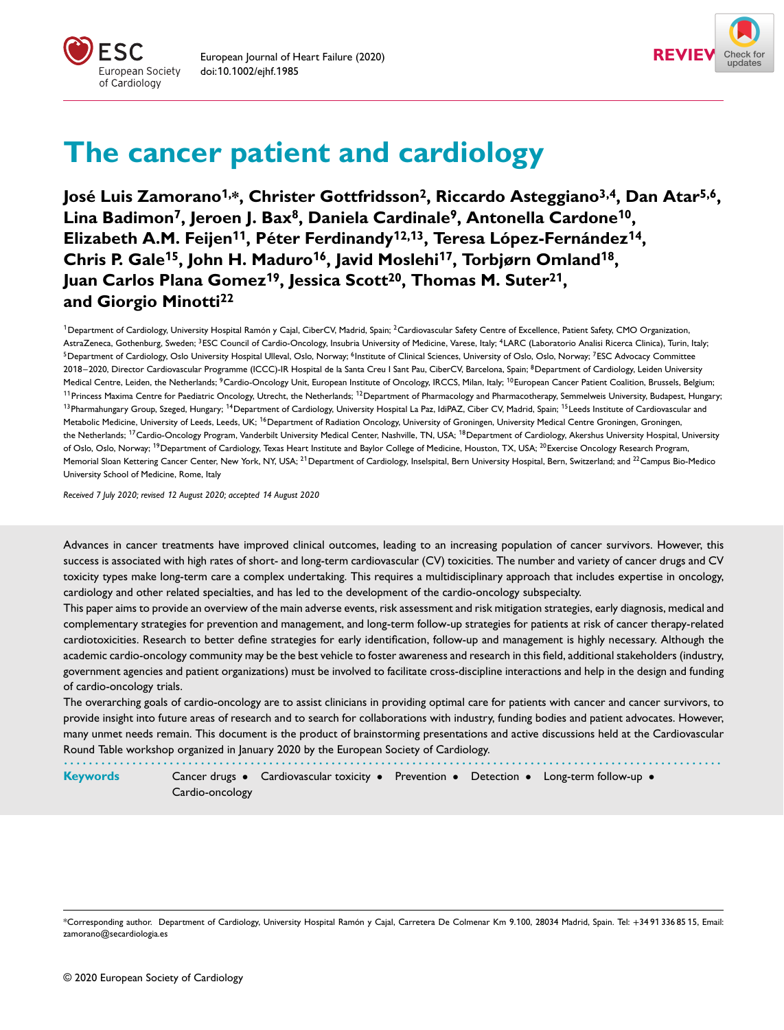



# **The cancer patient and cardiology**

**José Luis Zamorano1, \*, Christer Gottfridsson2, Riccardo Asteggiano3,4, Dan Atar5,6, Lina Badimon7, Jeroen J. Bax8, Daniela Cardinale9, Antonella Cardone<sup>1</sup>0, Elizabeth A.M. Feijen11, Péter Ferdinandy12,<sup>1</sup>3, Teresa López-Fernández<sup>1</sup>4, Chris P. Gale<sup>1</sup>5, John H. Maduro<sup>1</sup>6, Javid Moslehi<sup>1</sup>7, Torbjørn Omland<sup>1</sup>8, Juan Carlos Plana Gomez<sup>1</sup>9, Jessica Scott20, Thomas M. Suter2<sup>1</sup>, and Giorgio Minotti22**

<sup>1</sup> Department of Cardiology, University Hospital Ramón y Cajal, CiberCV, Madrid, Spain; <sup>2</sup>Cardiovascular Safety Centre of Excellence, Patient Safety, CMO Organization, AstraZeneca, Gothenburg, Sweden; <sup>3</sup>ESC Council of Cardio-Oncology, Insubria University of Medicine, Varese, Italy; <sup>4</sup>LARC (Laboratorio Analisi Ricerca Clinica), Turin, Italy; <sup>5</sup>Department of Cardiology, Oslo University Hospital Ulleval, Oslo, Norway; <sup>6</sup>Institute of Clinical Sciences, University of Oslo, Oslo, Norway; <sup>7</sup>ESC Advocacy Committee 2018–2020, Director Cardiovascular Programme (ICCC)-IR Hospital de la Santa Creu I Sant Pau, CiberCV, Barcelona, Spain; <sup>8</sup>Department of Cardiology, Leiden University Medical Centre, Leiden, the Netherlands; <sup>9</sup>Cardio-Oncology Unit, European Institute of Oncology, IRCCS, Milan, Italy; <sup>10</sup>European Cancer Patient Coalition, Brussels, Belgium; <sup>11</sup> Princess Maxima Centre for Paediatric Oncology, Utrecht, the Netherlands; <sup>12</sup> Department of Pharmacology and Pharmacotherapy, Semmelweis University, Budapest, Hungary; <sup>13</sup>Pharmahungary Group, Szeged, Hungary; <sup>14</sup>Department of Cardiology, University Hospital La Paz, IdiPAZ, Ciber CV, Madrid, Spain; <sup>15</sup>Leeds Institute of Cardiovascular and Metabolic Medicine, University of Leeds, Leeds, UK; <sup>16</sup>Department of Radiation Oncology, University of Groningen, University Medical Centre Groningen, Groningen, the Netherlands; <sup>17</sup>Cardio-Oncology Program, Vanderbilt University Medical Center, Nashville, TN, USA; <sup>18</sup>Department of Cardiology, Akershus University Hospital, University of Oslo, Oslo, Norway; <sup>19</sup>Department of Cardiology, Texas Heart Institute and Baylor College of Medicine, Houston, TX, USA; <sup>20</sup>Exercise Oncology Research Program, Memorial Sloan Kettering Cancer Center, New York, NY, USA; <sup>21</sup> Department of Cardiology, Inselspital, Bern University Hospital, Bern, Switzerland; and <sup>22</sup> Campus Bio-Medico University School of Medicine, Rome, Italy

*Received 7 July 2020; revised* 1*2 August 2020; accepted* 1*4 August 2020*

Advances in cancer treatments have improved clinical outcomes, leading to an increasing population of cancer survivors. However, this success is associated with high rates of short- and long-term cardiovascular (CV) toxicities. The number and variety of cancer drugs and CV toxicity types make long-term care a complex undertaking. This requires a multidisciplinary approach that includes expertise in oncology, cardiology and other related specialties, and has led to the development of the cardio-oncology subspecialty.

This paper aims to provide an overview of the main adverse events, risk assessment and risk mitigation strategies, early diagnosis, medical and complementary strategies for prevention and management, and long-term follow-up strategies for patients at risk of cancer therapy-related cardiotoxicities. Research to better define strategies for early identification, follow-up and management is highly necessary. Although the academic cardio-oncology community may be the best vehicle to foster awareness and research in this field, additional stakeholders (industry, government agencies and patient organizations) must be involved to facilitate cross-discipline interactions and help in the design and funding of cardio-oncology trials.

The overarching goals of cardio-oncology are to assist clinicians in providing optimal care for patients with cancer and cancer survivors, to provide insight into future areas of research and to search for collaborations with industry, funding bodies and patient advocates. However, many unmet needs remain. This document is the product of brainstorming presentations and active discussions held at the Cardiovascular Round Table workshop organized in January 2020 by the European Society of Cardiology. *..........................................................................................................*

**Keywords** Cancer drugs • Cardiovascular toxicity • Prevention • Detection • Long-term follow-up • Cardio-oncology

\*Corresponding author. Department of Cardiology, University Hospital Ramón y Cajal, Carretera De Colmenar Km 9.100, 28034 Madrid, Spain. Tel: +34 91 336 85 15, Email: zamorano@secardiologia.es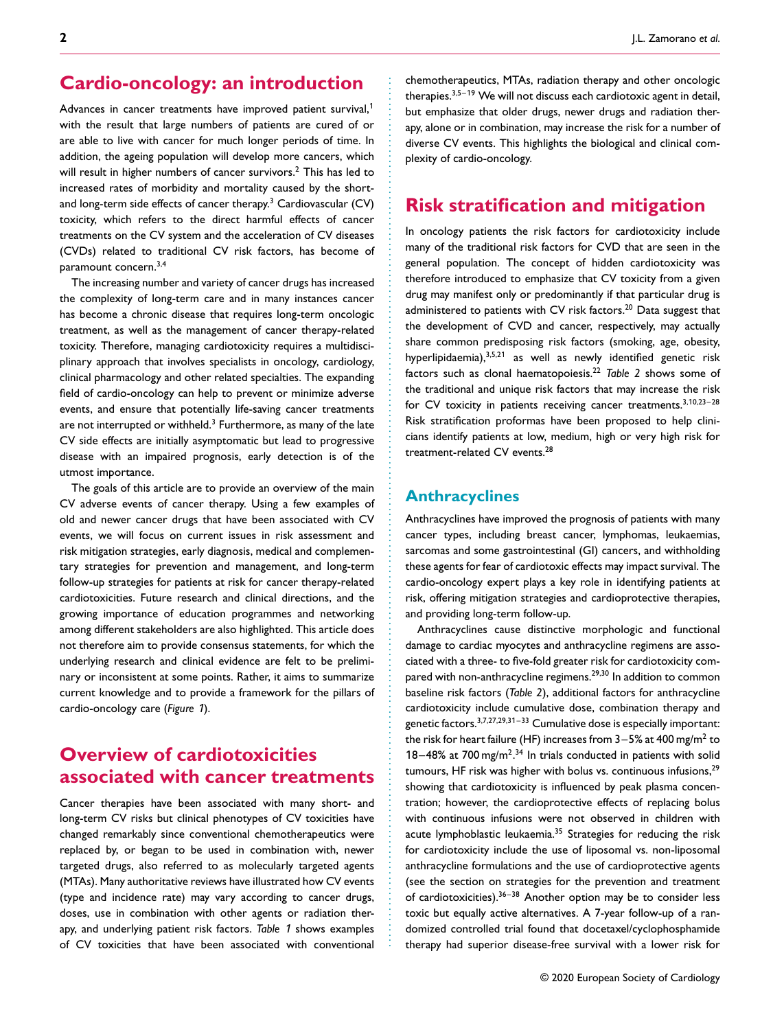### **Cardio-oncology: an introduction**

Advances in cancer treatments have improved patient survival,<sup>1</sup> with the result that large numbers of patients are cured of or are able to live with cancer for much longer periods of time. In addition, the ageing population will develop more cancers, which will result in higher numbers of cancer survivors.<sup>2</sup> This has led to increased rates of morbidity and mortality caused by the shortand long-term side effects of cancer therapy.<sup>3</sup> Cardiovascular (CV) toxicity, which refers to the direct harmful effects of cancer treatments on the CV system and the acceleration of CV diseases (CVDs) related to traditional CV risk factors, has become of paramount concern.<sup>3,4</sup>

The increasing number and variety of cancer drugs has increased the complexity of long-term care and in many instances cancer has become a chronic disease that requires long-term oncologic treatment, as well as the management of cancer therapy-related toxicity. Therefore, managing cardiotoxicity requires a multidisciplinary approach that involves specialists in oncology, cardiology, clinical pharmacology and other related specialties. The expanding field of cardio-oncology can help to prevent or minimize adverse events, and ensure that potentially life-saving cancer treatments are not interrupted or withheld. $3$  Furthermore, as many of the late CV side effects are initially asymptomatic but lead to progressive disease with an impaired prognosis, early detection is of the utmost importance.

The goals of this article are to provide an overview of the main CV adverse events of cancer therapy. Using a few examples of old and newer cancer drugs that have been associated with CV events, we will focus on current issues in risk assessment and risk mitigation strategies, early diagnosis, medical and complementary strategies for prevention and management, and long-term follow-up strategies for patients at risk for cancer therapy-related cardiotoxicities. Future research and clinical directions, and the growing importance of education programmes and networking among different stakeholders are also highlighted. This article does not therefore aim to provide consensus statements, for which the underlying research and clinical evidence are felt to be preliminary or inconsistent at some points. Rather, it aims to summarize current knowledge and to provide a framework for the pillars of cardio-oncology care (*Figure* 1).

### **Overview of cardiotoxicities associated with cancer treatments**

Cancer therapies have been associated with many short- and long-term CV risks but clinical phenotypes of CV toxicities have changed remarkably since conventional chemotherapeutics were replaced by, or began to be used in combination with, newer targeted drugs, also referred to as molecularly targeted agents (MTAs). Many authoritative reviews have illustrated how CV events (type and incidence rate) may vary according to cancer drugs, doses, use in combination with other agents or radiation therapy, and underlying patient risk factors. *Table* 1 shows examples of CV toxicities that have been associated with conventional chemotherapeutics, MTAs, radiation therapy and other oncologic therapies. $3,5-19$  We will not discuss each cardiotoxic agent in detail, but emphasize that older drugs, newer drugs and radiation therapy, alone or in combination, may increase the risk for a number of diverse CV events. This highlights the biological and clinical complexity of cardio-oncology.

### **Risk stratification and mitigation**

In oncology patients the risk factors for cardiotoxicity include many of the traditional risk factors for CVD that are seen in the general population. The concept of hidden cardiotoxicity was therefore introduced to emphasize that CV toxicity from a given drug may manifest only or predominantly if that particular drug is administered to patients with CV risk factors.<sup>20</sup> Data suggest that the development of CVD and cancer, respectively, may actually share common predisposing risk factors (smoking, age, obesity, hyperlipidaemia), $3,5,21$  as well as newly identified genetic risk factors such as clonal haematopoiesis.<sup>22</sup> *Table 2* shows some of the traditional and unique risk factors that may increase the risk for CV toxicity in patients receiving cancer treatments.<sup>3,10,23-28</sup> Risk stratification proformas have been proposed to help clinicians identify patients at low, medium, high or very high risk for treatment-related CV events.28

#### **Anthracyclines**

............................................................... ................................................................ .........................................

Anthracyclines have improved the prognosis of patients with many cancer types, including breast cancer, lymphomas, leukaemias, sarcomas and some gastrointestinal (GI) cancers, and withholding these agents for fear of cardiotoxic effects may impact survival. The cardio-oncology expert plays a key role in identifying patients at risk, offering mitigation strategies and cardioprotective therapies, and providing long-term follow-up.

Anthracyclines cause distinctive morphologic and functional damage to cardiac myocytes and anthracycline regimens are associated with a three- to five-fold greater risk for cardiotoxicity compared with non-anthracycline regimens.<sup>29,30</sup> In addition to common baseline risk factors (*Table 2*), additional factors for anthracycline cardiotoxicity include cumulative dose, combination therapy and genetic factors.3,7,27,29,3<sup>1</sup>–33 Cumulative dose is especially important: the risk for heart failure (HF) increases from  $3-5\%$  at 400 mg/m<sup>2</sup> to 18-48% at 700 mg/m<sup>2,34</sup> In trials conducted in patients with solid tumours, HF risk was higher with bolus vs. continuous infusions,<sup>29</sup> showing that cardiotoxicity is influenced by peak plasma concentration; however, the cardioprotective effects of replacing bolus with continuous infusions were not observed in children with acute lymphoblastic leukaemia. $35$  Strategies for reducing the risk for cardiotoxicity include the use of liposomal vs. non-liposomal anthracycline formulations and the use of cardioprotective agents (see the section on strategies for the prevention and treatment of cardiotoxicities).<sup>36–38</sup> Another option may be to consider less toxic but equally active alternatives. A 7-year follow-up of a randomized controlled trial found that docetaxel/cyclophosphamide therapy had superior disease-free survival with a lower risk for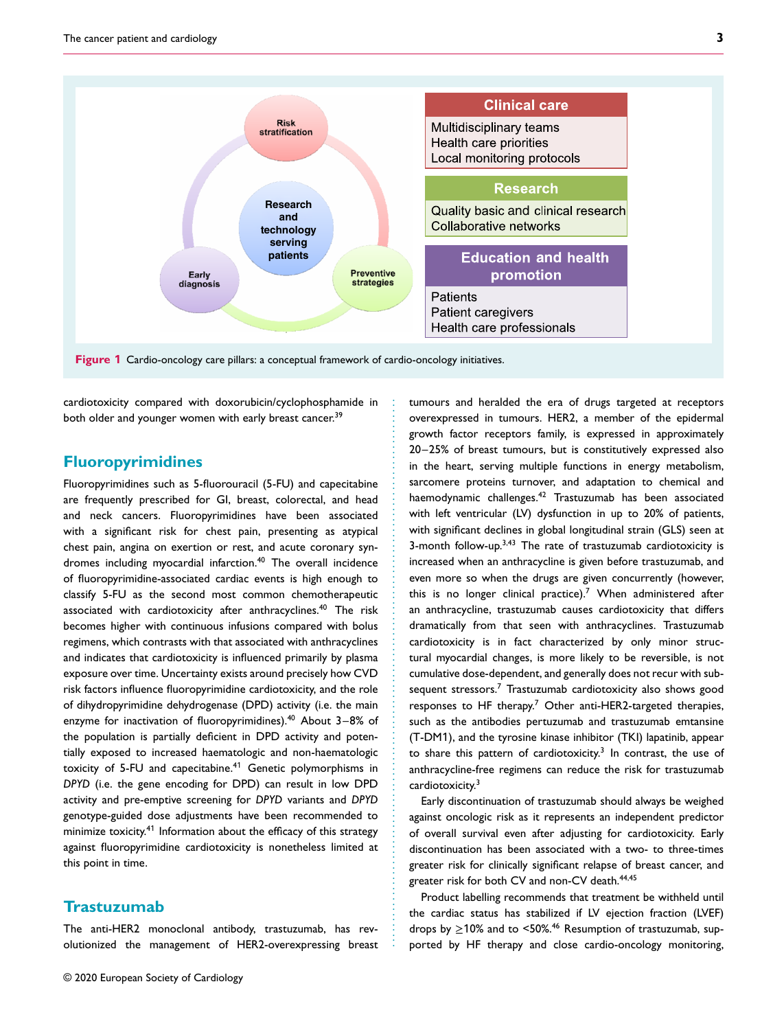

..................................................... .....................................................

cardiotoxicity compared with doxorubicin/cyclophosphamide in both older and younger women with early breast cancer.<sup>39</sup>

#### **Fluoropyrimidines**

Fluoropyrimidines such as 5-fluorouracil (5-FU) and capecitabine are frequently prescribed for GI, breast, colorectal, and head and neck cancers. Fluoropyrimidines have been associated with a significant risk for chest pain, presenting as atypical chest pain, angina on exertion or rest, and acute coronary syndromes including myocardial infarction.<sup>40</sup> The overall incidence of fluoropyrimidine-associated cardiac events is high enough to classify 5-FU as the second most common chemotherapeutic associated with cardiotoxicity after anthracyclines.<sup>40</sup> The risk becomes higher with continuous infusions compared with bolus regimens, which contrasts with that associated with anthracyclines and indicates that cardiotoxicity is influenced primarily by plasma exposure over time. Uncertainty exists around precisely how CVD risk factors influence fluoropyrimidine cardiotoxicity, and the role of dihydropyrimidine dehydrogenase (DPD) activity (i.e. the main enzyme for inactivation of fluoropyrimidines). $40$  About 3-8% of the population is partially deficient in DPD activity and potentially exposed to increased haematologic and non-haematologic toxicity of 5-FU and capecitabine.<sup>41</sup> Genetic polymorphisms in *DPYD* (i.e. the gene encoding for DPD) can result in low DPD activity and pre-emptive screening for *DPYD* variants and *DPYD* genotype-guided dose adjustments have been recommended to minimize toxicity.4<sup>1</sup> Information about the efficacy of this strategy against fluoropyrimidine cardiotoxicity is nonetheless limited at this point in time.

#### **Trastuzumab**

The anti-HER2 monoclonal antibody, trastuzumab, has revolutionized the management of HER2-overexpressing breast tumours and heralded the era of drugs targeted at receptors overexpressed in tumours. HER2, a member of the epidermal growth factor receptors family, is expressed in approximately 20–25% of breast tumours, but is constitutively expressed also in the heart, serving multiple functions in energy metabolism, sarcomere proteins turnover, and adaptation to chemical and haemodynamic challenges.<sup>42</sup> Trastuzumab has been associated with left ventricular (LV) dysfunction in up to 20% of patients, with significant declines in global longitudinal strain (GLS) seen at 3-month follow-up. $3,43$  The rate of trastuzumab cardiotoxicity is increased when an anthracycline is given before trastuzumab, and even more so when the drugs are given concurrently (however, this is no longer clinical practice).<sup>7</sup> When administered after an anthracycline, trastuzumab causes cardiotoxicity that differs dramatically from that seen with anthracyclines. Trastuzumab cardiotoxicity is in fact characterized by only minor structural myocardial changes, is more likely to be reversible, is not cumulative dose-dependent, and generally does not recur with subsequent stressors.<sup>7</sup> Trastuzumab cardiotoxicity also shows good responses to HF therapy.<sup>7</sup> Other anti-HER2-targeted therapies, such as the antibodies pertuzumab and trastuzumab emtansine (T-DM1), and the tyrosine kinase inhibitor (TKI) lapatinib, appear to share this pattern of cardiotoxicity.<sup>3</sup> In contrast, the use of anthracycline-free regimens can reduce the risk for trastuzumab cardiotoxicity.<sup>3</sup>

Early discontinuation of trastuzumab should always be weighed against oncologic risk as it represents an independent predictor of overall survival even after adjusting for cardiotoxicity. Early discontinuation has been associated with a two- to three-times greater risk for clinically significant relapse of breast cancer, and greater risk for both CV and non-CV death.<sup>44,45</sup>

Product labelling recommends that treatment be withheld until the cardiac status has stabilized if LV ejection fraction (LVEF) drops by  $\geq$ 10% and to <50%.<sup>46</sup> Resumption of trastuzumab, supported by HF therapy and close cardio-oncology monitoring,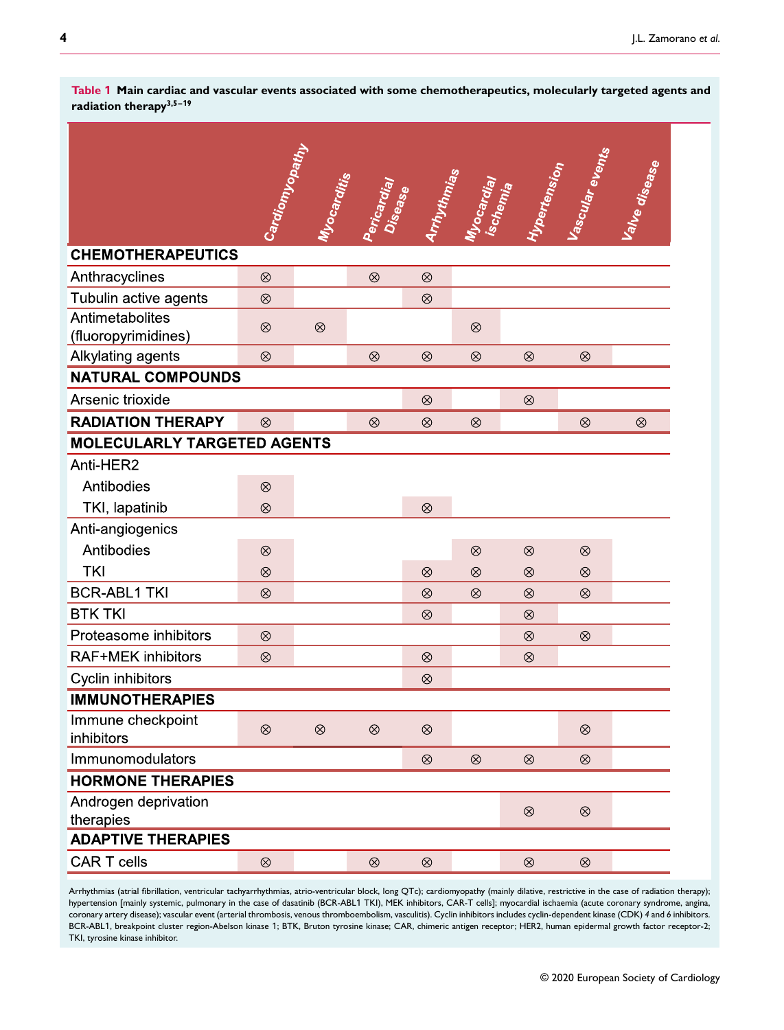|                                        | Cardiomyopathy |           | Myocarditis<br>Pericardial<br>Disease<br>Arthythmias<br>Myocardial<br>Inscular events<br>Mertension<br>Mescular events |           |           |           |           | Valve disease |
|----------------------------------------|----------------|-----------|------------------------------------------------------------------------------------------------------------------------|-----------|-----------|-----------|-----------|---------------|
| <b>CHEMOTHERAPEUTICS</b>               |                |           |                                                                                                                        |           |           |           |           |               |
| Anthracyclines                         | $\otimes$      |           | $\otimes$                                                                                                              | $\otimes$ |           |           |           |               |
| Tubulin active agents                  | $\otimes$      |           |                                                                                                                        | $\otimes$ |           |           |           |               |
| Antimetabolites<br>(fluoropyrimidines) | $\otimes$      | $\otimes$ |                                                                                                                        |           | $\otimes$ |           |           |               |
| Alkylating agents                      | $\otimes$      |           | $\otimes$                                                                                                              | $\otimes$ | $\otimes$ | $\otimes$ | $\otimes$ |               |
| <b>NATURAL COMPOUNDS</b>               |                |           |                                                                                                                        |           |           |           |           |               |
| Arsenic trioxide                       |                |           |                                                                                                                        | $\otimes$ |           | $\otimes$ |           |               |
| <b>RADIATION THERAPY</b>               | $\otimes$      |           | $\otimes$                                                                                                              | $\otimes$ | $\otimes$ |           | $\otimes$ | $\otimes$     |
| <b>MOLECULARLY TARGETED AGENTS</b>     |                |           |                                                                                                                        |           |           |           |           |               |
| Anti-HER2                              |                |           |                                                                                                                        |           |           |           |           |               |
| Antibodies                             | $\otimes$      |           |                                                                                                                        |           |           |           |           |               |
| TKI, lapatinib                         | $\otimes$      |           |                                                                                                                        | $\otimes$ |           |           |           |               |
| Anti-angiogenics                       |                |           |                                                                                                                        |           |           |           |           |               |
| Antibodies                             | $\otimes$      |           |                                                                                                                        |           | $\otimes$ | $\otimes$ | $\otimes$ |               |
| <b>TKI</b>                             | $\otimes$      |           |                                                                                                                        | $\otimes$ | $\otimes$ | $\otimes$ | $\otimes$ |               |
| <b>BCR-ABL1 TKI</b>                    | $\otimes$      |           |                                                                                                                        | $\otimes$ | $\otimes$ | $\otimes$ | $\otimes$ |               |
| <b>BTK TKI</b>                         |                |           |                                                                                                                        | $\otimes$ |           | $\otimes$ |           |               |
| Proteasome inhibitors                  | $\otimes$      |           |                                                                                                                        |           |           | $\otimes$ | $\otimes$ |               |
| <b>RAF+MEK</b> inhibitors              | $\otimes$      |           |                                                                                                                        | $\otimes$ |           | $\otimes$ |           |               |
| Cyclin inhibitors                      |                |           |                                                                                                                        | $\otimes$ |           |           |           |               |
| <b>IMMUNOTHERAPIES</b>                 |                |           |                                                                                                                        |           |           |           |           |               |
| Immune checkpoint<br>inhibitors        | $\otimes$      | $\otimes$ | $\otimes$                                                                                                              | $\otimes$ |           |           | $\otimes$ |               |
| Immunomodulators                       |                |           |                                                                                                                        | $\otimes$ | $\otimes$ | $\otimes$ | $\otimes$ |               |
| <b>HORMONE THERAPIES</b>               |                |           |                                                                                                                        |           |           |           |           |               |
| Androgen deprivation<br>therapies      |                |           |                                                                                                                        |           |           | $\otimes$ | $\otimes$ |               |
| <b>ADAPTIVE THERAPIES</b>              |                |           |                                                                                                                        |           |           |           |           |               |
| CAR T cells                            | $\otimes$      |           | $\otimes$                                                                                                              | $\otimes$ |           | $\otimes$ | $\otimes$ |               |

**Table 1 Main cardiac and vascular events associated with some chemotherapeutics, molecularly targeted agents and radiation therapy3,5–1<sup>9</sup>**

Arrhythmias (atrial fibrillation, ventricular tachyarrhythmias, atrio-ventricular block, long QTc); cardiomyopathy (mainly dilative, restrictive in the case of radiation therapy); hypertension [mainly systemic, pulmonary in the case of dasatinib (BCR-ABL1 TKI), MEK inhibitors, CAR-T cells]; myocardial ischaemia (acute coronary syndrome, angina, coronary artery disease); vascular event (arterial thrombosis, venous thromboembolism, vasculitis). Cyclin inhibitors includes cyclin-dependent kinase (CDK) *4* and *6* inhibitors. BCR-ABL1, breakpoint cluster region-Abelson kinase 1; BTK, Bruton tyrosine kinase; CAR, chimeric antigen receptor; HER2, human epidermal growth factor receptor-2; TKI, tyrosine kinase inhibitor.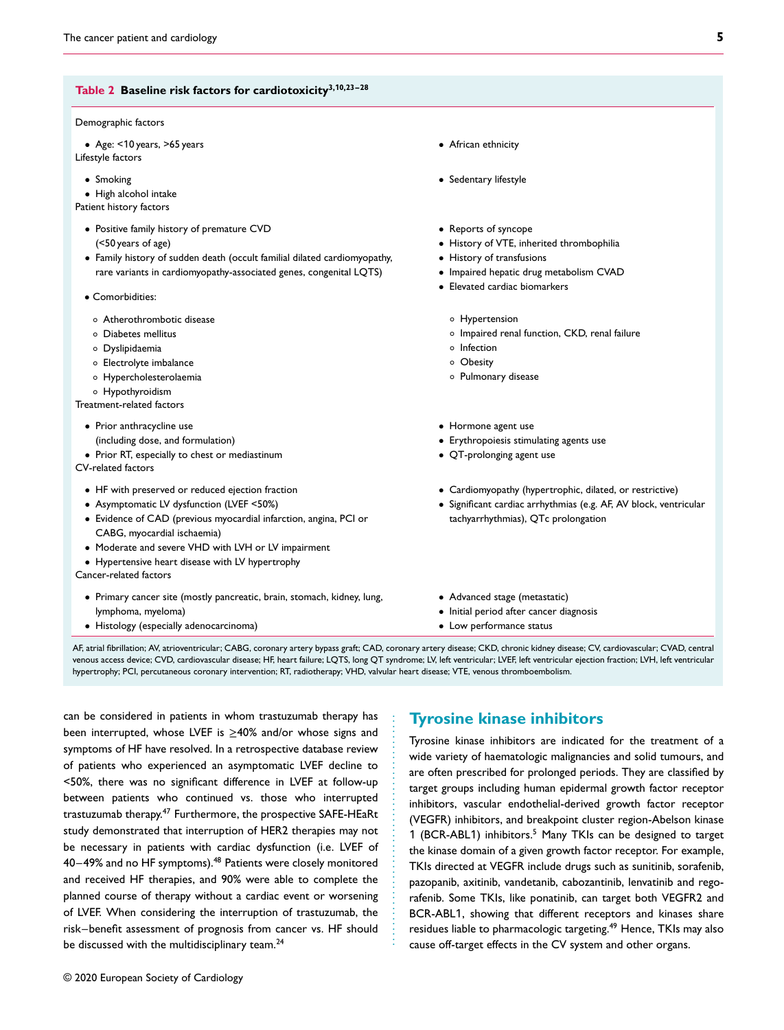### **Table 2 Baseline risk factors for cardiotoxicity3,<sup>1</sup>0,23–28**

#### Demographic factors

• Age: <10 years, >65 years • African ethnicity • African ethnicity Lifestyle factors

- Smoking
- High alcohol intake

Patient history factors

- Positive family history of premature CVD (<50 years of age)
- Family history of sudden death (occult familial dilated cardiomyopathy, rare variants in cardiomyopathy-associated genes, congenital LQTS)
- 
- Atherothrombotic disease
- Diabetes mellitus
- Dyslipidaemia
- Electrolyte imbalance
- Hypercholesterolaemia
- Hypothyroidism

Treatment-related factors

- Prior anthracycline use (including dose, and formulation)
- Prior RT, especially to chest or mediastinum
- CV-related factors
	- HF with preserved or reduced ejection fraction
	- Asymptomatic LV dysfunction (LVEF <50%)
	- Evidence of CAD (previous myocardial infarction, angina, PCI or CABG, myocardial ischaemia)
	- Moderate and severe VHD with LVH or LV impairment
	- Hypertensive heart disease with LV hypertrophy
- Cancer-related factors
	- Primary cancer site (mostly pancreatic, brain, stomach, kidney, lung, lymphoma, myeloma)
	- Histology (especially adenocarcinoma)
- 
- Sedentary lifestyle
- Reports of syncope
- History of VTE, inherited thrombophilia
- History of transfusions
- Impaired hepatic drug metabolism CVAD
- Elevated cardiac biomarkers Comorbidities:
	- Hypertension
	- Impaired renal function, CKD, renal failure
	- Infection
	- Obesity
	- Pulmonary disease
	- Hormone agent use
	- Erythropoiesis stimulating agents use
	- QT-prolonging agent use
	- Cardiomyopathy (hypertrophic, dilated, or restrictive)
	- Significant cardiac arrhythmias (e.g. AF, AV block, ventricular tachyarrhythmias), QTc prolongation
	- Advanced stage (metastatic)
	- Initial period after cancer diagnosis
	- Low performance status

AF, atrial fibrillation; AV, atrioventricular; CABG, coronary artery bypass graft; CAD, coronary artery disease; CKD, chronic kidney disease; CV, cardiovascular; CVAD, central venous access device; CVD, cardiovascular disease; HF, heart failure; LQTS, long QT syndrome; LV, left ventricular; LVEF, left ventricular ejection fraction; LVH, left ventricular hypertrophy; PCI, percutaneous coronary intervention; RT, radiotherapy; VHD, valvular heart disease; VTE, venous thromboembolism.

.............................................

can be considered in patients in whom trastuzumab therapy has been interrupted, whose LVEF is ≥40% and/or whose signs and symptoms of HF have resolved. In a retrospective database review of patients who experienced an asymptomatic LVEF decline to <50%, there was no significant difference in LVEF at follow-up between patients who continued vs. those who interrupted trastuzumab therapy.47 Furthermore, the prospective SAFE-HEaRt study demonstrated that interruption of HER2 therapies may not be necessary in patients with cardiac dysfunction (i.e. LVEF of 40–49% and no HF symptoms).<sup>48</sup> Patients were closely monitored and received HF therapies, and 90% were able to complete the planned course of therapy without a cardiac event or worsening of LVEF. When considering the interruption of trastuzumab, the risk–benefit assessment of prognosis from cancer vs. HF should be discussed with the multidisciplinary team.<sup>24</sup>

#### **Tyrosine kinase inhibitors**

Tyrosine kinase inhibitors are indicated for the treatment of a wide variety of haematologic malignancies and solid tumours, and are often prescribed for prolonged periods. They are classified by target groups including human epidermal growth factor receptor inhibitors, vascular endothelial-derived growth factor receptor (VEGFR) inhibitors, and breakpoint cluster region-Abelson kinase 1 (BCR-ABL1) inhibitors.<sup>5</sup> Many TKIs can be designed to target the kinase domain of a given growth factor receptor. For example, TKIs directed at VEGFR include drugs such as sunitinib, sorafenib, pazopanib, axitinib, vandetanib, cabozantinib, lenvatinib and regorafenib. Some TKIs, like ponatinib, can target both VEGFR2 and BCR-ABL1, showing that different receptors and kinases share residues liable to pharmacologic targeting.<sup>49</sup> Hence, TKIs may also cause off-target effects in the CV system and other organs.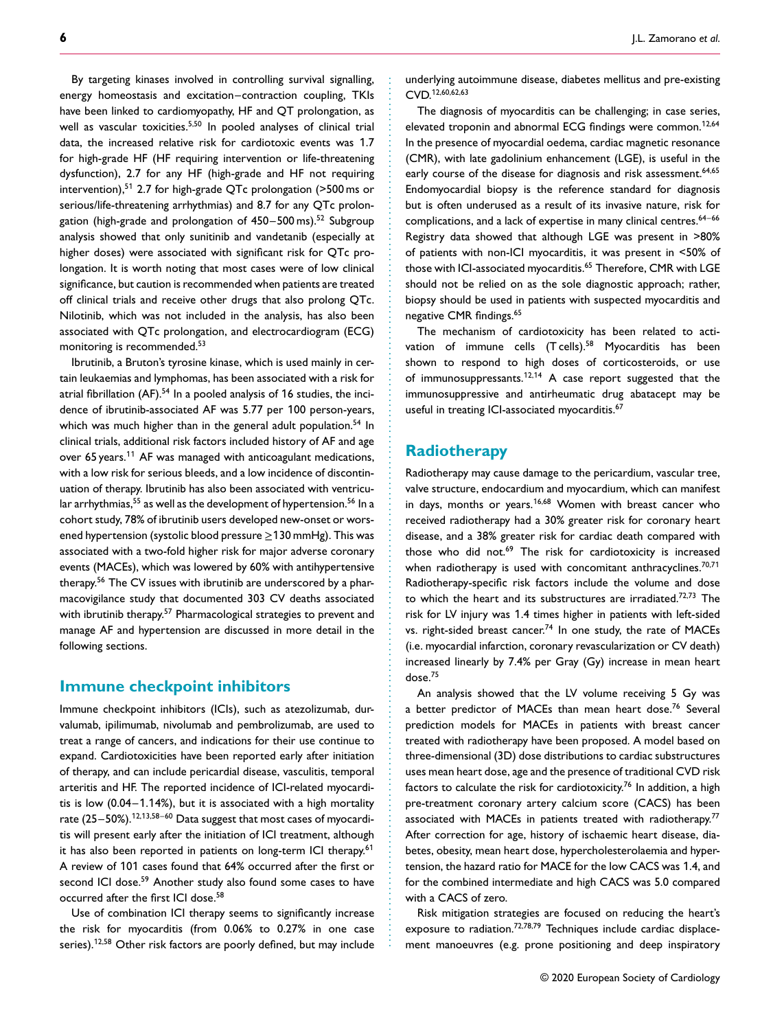By targeting kinases involved in controlling survival signalling, energy homeostasis and excitation–contraction coupling, TKIs have been linked to cardiomyopathy, HF and QT prolongation, as well as vascular toxicities.<sup>5,50</sup> In pooled analyses of clinical trial data, the increased relative risk for cardiotoxic events was 1.7 for high-grade HF (HF requiring intervention or life-threatening dysfunction), 2.7 for any HF (high-grade and HF not requiring intervention), $51$  2.7 for high-grade QTc prolongation (>500 ms or serious/life-threatening arrhythmias) and 8.7 for any QTc prolongation (high-grade and prolongation of 450–500 ms).<sup>52</sup> Subgroup analysis showed that only sunitinib and vandetanib (especially at higher doses) were associated with significant risk for QTc prolongation. It is worth noting that most cases were of low clinical significance, but caution is recommended when patients are treated off clinical trials and receive other drugs that also prolong QTc. Nilotinib, which was not included in the analysis, has also been associated with QTc prolongation, and electrocardiogram (ECG) monitoring is recommended.<sup>53</sup>

Ibrutinib, a Bruton's tyrosine kinase, which is used mainly in certain leukaemias and lymphomas, has been associated with a risk for atrial fibrillation (AF).<sup>54</sup> In a pooled analysis of 16 studies, the incidence of ibrutinib-associated AF was 5.77 per 100 person-years, which was much higher than in the general adult population.<sup>54</sup> In clinical trials, additional risk factors included history of AF and age over 65 years.<sup>11</sup> AF was managed with anticoagulant medications, with a low risk for serious bleeds, and a low incidence of discontinuation of therapy. Ibrutinib has also been associated with ventricular arrhythmias,  $55$  as well as the development of hypertension.<sup>56</sup> In a cohort study, 78% of ibrutinib users developed new-onset or worsened hypertension (systolic blood pressure  $\geq$  130 mmHg). This was associated with a two-fold higher risk for major adverse coronary events (MACEs), which was lowered by 60% with antihypertensive therapy.<sup>56</sup> The CV issues with ibrutinib are underscored by a pharmacovigilance study that documented 303 CV deaths associated with ibrutinib therapy.<sup>57</sup> Pharmacological strategies to prevent and manage AF and hypertension are discussed in more detail in the following sections.

#### **Immune checkpoint inhibitors**

Immune checkpoint inhibitors (ICIs), such as atezolizumab, durvalumab, ipilimumab, nivolumab and pembrolizumab, are used to treat a range of cancers, and indications for their use continue to expand. Cardiotoxicities have been reported early after initiation of therapy, and can include pericardial disease, vasculitis, temporal arteritis and HF. The reported incidence of ICI-related myocarditis is low (0.04–1.14%), but it is associated with a high mortality rate (25–50%).<sup>12,13,58–60</sup> Data suggest that most cases of myocarditis will present early after the initiation of ICI treatment, although it has also been reported in patients on long-term ICI therapy.<sup>61</sup> A review of 101 cases found that 64% occurred after the first or second ICI dose.<sup>59</sup> Another study also found some cases to have occurred after the first ICI dose.<sup>58</sup>

Use of combination ICI therapy seems to significantly increase the risk for myocarditis (from 0.06% to 0.27% in one case series).<sup>12,58</sup> Other risk factors are poorly defined, but may include underlying autoimmune disease, diabetes mellitus and pre-existing CVD.<sup>1</sup>2,60,62,63

The diagnosis of myocarditis can be challenging; in case series, elevated troponin and abnormal ECG findings were common.<sup>12,64</sup> In the presence of myocardial oedema, cardiac magnetic resonance (CMR), with late gadolinium enhancement (LGE), is useful in the early course of the disease for diagnosis and risk assessment.<sup>64,65</sup> Endomyocardial biopsy is the reference standard for diagnosis but is often underused as a result of its invasive nature, risk for complications, and a lack of expertise in many clinical centres.<sup>64-66</sup> Registry data showed that although LGE was present in >80% of patients with non-ICI myocarditis, it was present in <50% of those with ICI-associated myocarditis.<sup>65</sup> Therefore, CMR with LGE should not be relied on as the sole diagnostic approach; rather, biopsy should be used in patients with suspected myocarditis and negative CMR findings.<sup>65</sup>

The mechanism of cardiotoxicity has been related to activation of immune cells (T cells).<sup>58</sup> Myocarditis has been shown to respond to high doses of corticosteroids, or use of immunosuppressants.<sup>12,14</sup> A case report suggested that the immunosuppressive and antirheumatic drug abatacept may be useful in treating ICI-associated myocarditis.<sup>67</sup>

#### **Radiotherapy**

............................................................... ................................................................ .........................................

Radiotherapy may cause damage to the pericardium, vascular tree, valve structure, endocardium and myocardium, which can manifest in days, months or years.<sup>16,68</sup> Women with breast cancer who received radiotherapy had a 30% greater risk for coronary heart disease, and a 38% greater risk for cardiac death compared with those who did not.<sup>69</sup> The risk for cardiotoxicity is increased when radiotherapy is used with concomitant anthracyclines.<sup>70,71</sup> Radiotherapy-specific risk factors include the volume and dose to which the heart and its substructures are irradiated.<sup>72,73</sup> The risk for LV injury was 1.4 times higher in patients with left-sided vs. right-sided breast cancer.<sup>74</sup> In one study, the rate of MACEs (i.e. myocardial infarction, coronary revascularization or CV death) increased linearly by 7.4% per Gray (Gy) increase in mean heart dose.75

An analysis showed that the LV volume receiving 5 Gy was a better predictor of MACEs than mean heart dose.<sup>76</sup> Several prediction models for MACEs in patients with breast cancer treated with radiotherapy have been proposed. A model based on three-dimensional (3D) dose distributions to cardiac substructures uses mean heart dose, age and the presence of traditional CVD risk factors to calculate the risk for cardiotoxicity.<sup>76</sup> In addition, a high pre-treatment coronary artery calcium score (CACS) has been associated with MACEs in patients treated with radiotherapy.<sup>77</sup> After correction for age, history of ischaemic heart disease, diabetes, obesity, mean heart dose, hypercholesterolaemia and hypertension, the hazard ratio for MACE for the low CACS was 1.4, and for the combined intermediate and high CACS was 5.0 compared with a CACS of zero.

Risk mitigation strategies are focused on reducing the heart's exposure to radiation.<sup>72,78,79</sup> Techniques include cardiac displacement manoeuvres (e.g. prone positioning and deep inspiratory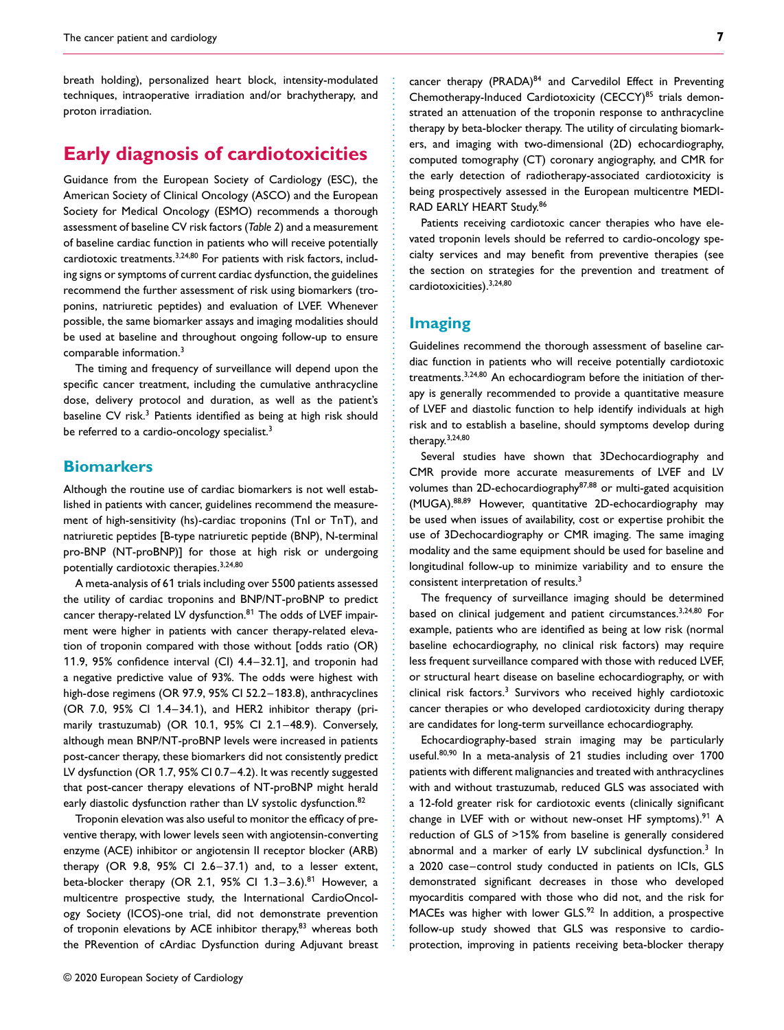breath holding), personalized heart block, intensity-modulated techniques, intraoperative irradiation and/or brachytherapy, and proton irradiation.

### **Early diagnosis of cardiotoxicities**

Guidance from the European Society of Cardiology (ESC), the American Society of Clinical Oncology (ASCO) and the European Society for Medical Oncology (ESMO) recommends a thorough assessment of baseline CV risk factors (*Table 2*) and a measurement of baseline cardiac function in patients who will receive potentially cardiotoxic treatments.3,24,80 For patients with risk factors, including signs or symptoms of current cardiac dysfunction, the guidelines recommend the further assessment of risk using biomarkers (troponins, natriuretic peptides) and evaluation of LVEF. Whenever possible, the same biomarker assays and imaging modalities should be used at baseline and throughout ongoing follow-up to ensure comparable information.<sup>3</sup>

The timing and frequency of surveillance will depend upon the specific cancer treatment, including the cumulative anthracycline dose, delivery protocol and duration, as well as the patient's baseline CV risk.<sup>3</sup> Patients identified as being at high risk should be referred to a cardio-oncology specialist.<sup>3</sup>

#### **Biomarkers**

Although the routine use of cardiac biomarkers is not well established in patients with cancer, guidelines recommend the measurement of high-sensitivity (hs)-cardiac troponins (TnI or TnT), and natriuretic peptides [B-type natriuretic peptide (BNP), N-terminal pro-BNP (NT-proBNP)] for those at high risk or undergoing potentially cardiotoxic therapies.3,24,80

A meta-analysis of 61 trials including over 5500 patients assessed the utility of cardiac troponins and BNP/NT-proBNP to predict cancer therapy-related LV dysfunction.<sup>81</sup> The odds of LVEF impairment were higher in patients with cancer therapy-related elevation of troponin compared with those without [odds ratio (OR) 11.9, 95% confidence interval (CI) 4.4–32.1], and troponin had a negative predictive value of 93%. The odds were highest with high-dose regimens (OR 97.9, 95% CI 52.2–183.8), anthracyclines (OR 7.0, 95% CI 1.4–34.1), and HER2 inhibitor therapy (primarily trastuzumab) (OR 10.1, 95% CI 2.1–48.9). Conversely, although mean BNP/NT-proBNP levels were increased in patients post-cancer therapy, these biomarkers did not consistently predict LV dysfunction (OR 1.7, 95% CI 0.7–4.2). It was recently suggested that post-cancer therapy elevations of NT-proBNP might herald early diastolic dysfunction rather than LV systolic dysfunction.<sup>82</sup>

Troponin elevation was also useful to monitor the efficacy of preventive therapy, with lower levels seen with angiotensin-converting enzyme (ACE) inhibitor or angiotensin II receptor blocker (ARB) therapy (OR 9.8, 95% CI 2.6–37.1) and, to a lesser extent, beta-blocker therapy (OR 2.1, 95% CI  $1.3-3.6$ ).<sup>81</sup> However, a multicentre prospective study, the International CardioOncology Society (ICOS)-one trial, did not demonstrate prevention of troponin elevations by ACE inhibitor therapy,<sup>83</sup> whereas both the PRevention of cArdiac Dysfunction during Adjuvant breast

© 2020 European Society of Cardiology

cancer therapy (PRADA)<sup>84</sup> and Carvedilol Effect in Preventing Chemotherapy-Induced Cardiotoxicity (CECCY)<sup>85</sup> trials demonstrated an attenuation of the troponin response to anthracycline therapy by beta-blocker therapy. The utility of circulating biomarkers, and imaging with two-dimensional (2D) echocardiography, computed tomography (CT) coronary angiography, and CMR for the early detection of radiotherapy-associated cardiotoxicity is being prospectively assessed in the European multicentre MEDI-RAD EARLY HEART Study.<sup>86</sup>

Patients receiving cardiotoxic cancer therapies who have elevated troponin levels should be referred to cardio-oncology specialty services and may benefit from preventive therapies (see the section on strategies for the prevention and treatment of cardiotoxicities).<sup>3,24,80</sup>

#### **Imaging**

............................................................... ................................................................ .........................................

Guidelines recommend the thorough assessment of baseline cardiac function in patients who will receive potentially cardiotoxic treatments.<sup>3,24,80</sup> An echocardiogram before the initiation of therapy is generally recommended to provide a quantitative measure of LVEF and diastolic function to help identify individuals at high risk and to establish a baseline, should symptoms develop during therapy.3,24,80

Several studies have shown that 3Dechocardiography and CMR provide more accurate measurements of LVEF and LV volumes than 2D-echocardiography<sup>87,88</sup> or multi-gated acquisition (MUGA).88,89 However, quantitative 2D-echocardiography may be used when issues of availability, cost or expertise prohibit the use of 3Dechocardiography or CMR imaging. The same imaging modality and the same equipment should be used for baseline and longitudinal follow-up to minimize variability and to ensure the consistent interpretation of results.<sup>3</sup>

The frequency of surveillance imaging should be determined based on clinical judgement and patient circumstances.<sup>3,24,80</sup> For example, patients who are identified as being at low risk (normal baseline echocardiography, no clinical risk factors) may require less frequent surveillance compared with those with reduced LVEF, or structural heart disease on baseline echocardiography, or with clinical risk factors. $3$  Survivors who received highly cardiotoxic cancer therapies or who developed cardiotoxicity during therapy are candidates for long-term surveillance echocardiography.

Echocardiography-based strain imaging may be particularly useful.80,90 In a meta-analysis of 21 studies including over 1700 patients with different malignancies and treated with anthracyclines with and without trastuzumab, reduced GLS was associated with a 12-fold greater risk for cardiotoxic events (clinically significant change in LVEF with or without new-onset HF symptoms). $91$  A reduction of GLS of >15% from baseline is generally considered abnormal and a marker of early LV subclinical dysfunction.<sup>3</sup> In a 2020 case–control study conducted in patients on ICIs, GLS demonstrated significant decreases in those who developed myocarditis compared with those who did not, and the risk for MACEs was higher with lower GLS. $92$  In addition, a prospective follow-up study showed that GLS was responsive to cardioprotection, improving in patients receiving beta-blocker therapy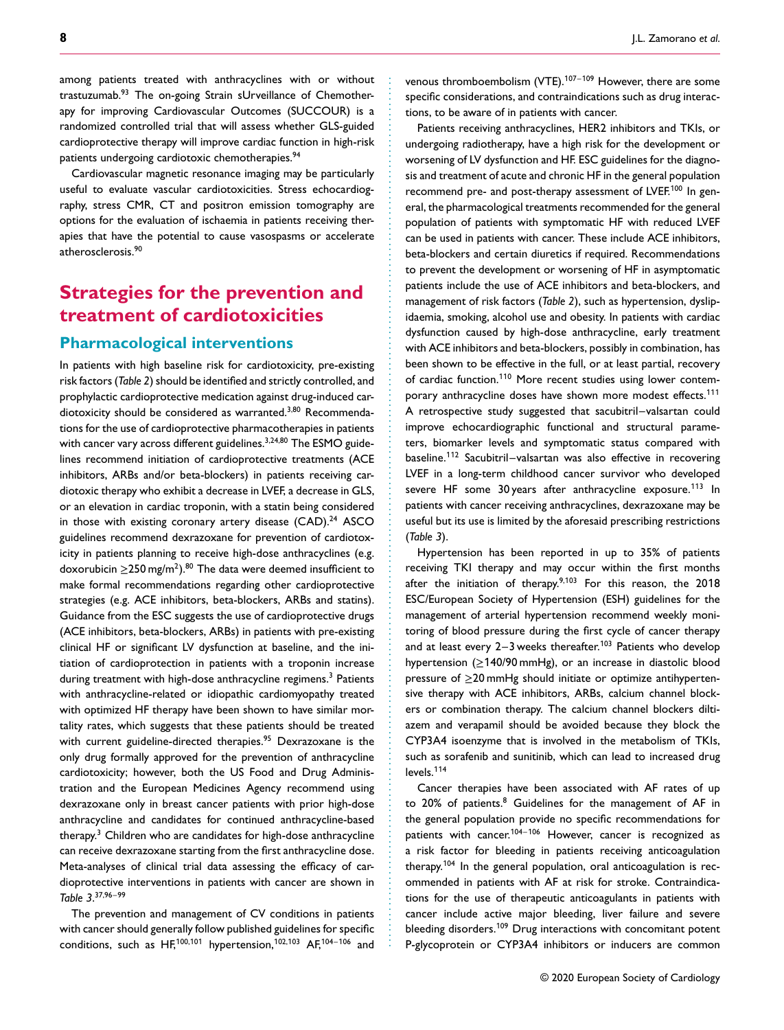among patients treated with anthracyclines with or without trastuzumab.<sup>93</sup> The on-going Strain sUrveillance of Chemotherapy for improving Cardiovascular Outcomes (SUCCOUR) is a randomized controlled trial that will assess whether GLS-guided cardioprotective therapy will improve cardiac function in high-risk patients undergoing cardiotoxic chemotherapies.<sup>94</sup>

Cardiovascular magnetic resonance imaging may be particularly useful to evaluate vascular cardiotoxicities. Stress echocardiography, stress CMR, CT and positron emission tomography are options for the evaluation of ischaemia in patients receiving therapies that have the potential to cause vasospasms or accelerate atherosclerosis.90

### **Strategies for the prevention and treatment of cardiotoxicities**

#### **Pharmacological interventions**

In patients with high baseline risk for cardiotoxicity, pre-existing risk factors (*Table 2*) should be identified and strictly controlled, and prophylactic cardioprotective medication against drug-induced cardiotoxicity should be considered as warranted.<sup>3,80</sup> Recommendations for the use of cardioprotective pharmacotherapies in patients with cancer vary across different guidelines.<sup>3,24,80</sup> The ESMO guidelines recommend initiation of cardioprotective treatments (ACE inhibitors, ARBs and/or beta-blockers) in patients receiving cardiotoxic therapy who exhibit a decrease in LVEF, a decrease in GLS, or an elevation in cardiac troponin, with a statin being considered in those with existing coronary artery disease  $(CAD).<sup>24</sup>$  ASCO guidelines recommend dexrazoxane for prevention of cardiotoxicity in patients planning to receive high-dose anthracyclines (e.g. doxorubicin  $\geq$ 250 mg/m<sup>2</sup>).<sup>80</sup> The data were deemed insufficient to make formal recommendations regarding other cardioprotective strategies (e.g. ACE inhibitors, beta-blockers, ARBs and statins). Guidance from the ESC suggests the use of cardioprotective drugs (ACE inhibitors, beta-blockers, ARBs) in patients with pre-existing clinical HF or significant LV dysfunction at baseline, and the initiation of cardioprotection in patients with a troponin increase during treatment with high-dose anthracycline regimens.<sup>3</sup> Patients with anthracycline-related or idiopathic cardiomyopathy treated with optimized HF therapy have been shown to have similar mortality rates, which suggests that these patients should be treated with current guideline-directed therapies.<sup>95</sup> Dexrazoxane is the only drug formally approved for the prevention of anthracycline cardiotoxicity; however, both the US Food and Drug Administration and the European Medicines Agency recommend using dexrazoxane only in breast cancer patients with prior high-dose anthracycline and candidates for continued anthracycline-based therapy. $3$  Children who are candidates for high-dose anthracycline can receive dexrazoxane starting from the first anthracycline dose. Meta-analyses of clinical trial data assessing the efficacy of cardioprotective interventions in patients with cancer are shown in *Table 3*. 37,96–99

............................................................... ................................................................ .........................................

The prevention and management of CV conditions in patients with cancer should generally follow published guidelines for specific conditions, such as HF,<sup>100,101</sup> hypertension,<sup>102,103</sup> AF,<sup>104-106</sup> and venous thromboembolism (VTE).<sup>107–109</sup> However, there are some specific considerations, and contraindications such as drug interactions, to be aware of in patients with cancer.

Patients receiving anthracyclines, HER2 inhibitors and TKIs, or undergoing radiotherapy, have a high risk for the development or worsening of LV dysfunction and HF. ESC guidelines for the diagnosis and treatment of acute and chronic HF in the general population recommend pre- and post-therapy assessment of LVEF.<sup>100</sup> In general, the pharmacological treatments recommended for the general population of patients with symptomatic HF with reduced LVEF can be used in patients with cancer. These include ACE inhibitors, beta-blockers and certain diuretics if required. Recommendations to prevent the development or worsening of HF in asymptomatic patients include the use of ACE inhibitors and beta-blockers, and management of risk factors (*Table 2*), such as hypertension, dyslipidaemia, smoking, alcohol use and obesity. In patients with cardiac dysfunction caused by high-dose anthracycline, early treatment with ACE inhibitors and beta-blockers, possibly in combination, has been shown to be effective in the full, or at least partial, recovery of cardiac function.<sup>110</sup> More recent studies using lower contemporary anthracycline doses have shown more modest effects.<sup>111</sup> A retrospective study suggested that sacubitril–valsartan could improve echocardiographic functional and structural parameters, biomarker levels and symptomatic status compared with baseline.<sup>11</sup><sup>2</sup> Sacubitril–valsartan was also effective in recovering LVEF in a long-term childhood cancer survivor who developed severe HF some 30 years after anthracycline exposure.<sup>113</sup> In patients with cancer receiving anthracyclines, dexrazoxane may be useful but its use is limited by the aforesaid prescribing restrictions (*Table 3*).

Hypertension has been reported in up to 35% of patients receiving TKI therapy and may occur within the first months after the initiation of therapy. $9,103$  For this reason, the 2018 ESC/European Society of Hypertension (ESH) guidelines for the management of arterial hypertension recommend weekly monitoring of blood pressure during the first cycle of cancer therapy and at least every  $2-3$  weeks thereafter.<sup>103</sup> Patients who develop hypertension (≥140/90 mmHg), or an increase in diastolic blood pressure of ≥20 mmHg should initiate or optimize antihypertensive therapy with ACE inhibitors, ARBs, calcium channel blockers or combination therapy. The calcium channel blockers diltiazem and verapamil should be avoided because they block the CYP3A4 isoenzyme that is involved in the metabolism of TKIs, such as sorafenib and sunitinib, which can lead to increased drug levels.<sup>114</sup>

Cancer therapies have been associated with AF rates of up to 20% of patients.<sup>8</sup> Guidelines for the management of AF in the general population provide no specific recommendations for patients with cancer.<sup>104-106</sup> However, cancer is recognized as a risk factor for bleeding in patients receiving anticoagulation therapy.<sup>1</sup><sup>04</sup> In the general population, oral anticoagulation is recommended in patients with AF at risk for stroke. Contraindications for the use of therapeutic anticoagulants in patients with cancer include active major bleeding, liver failure and severe bleeding disorders.<sup>109</sup> Drug interactions with concomitant potent P-glycoprotein or CYP3A4 inhibitors or inducers are common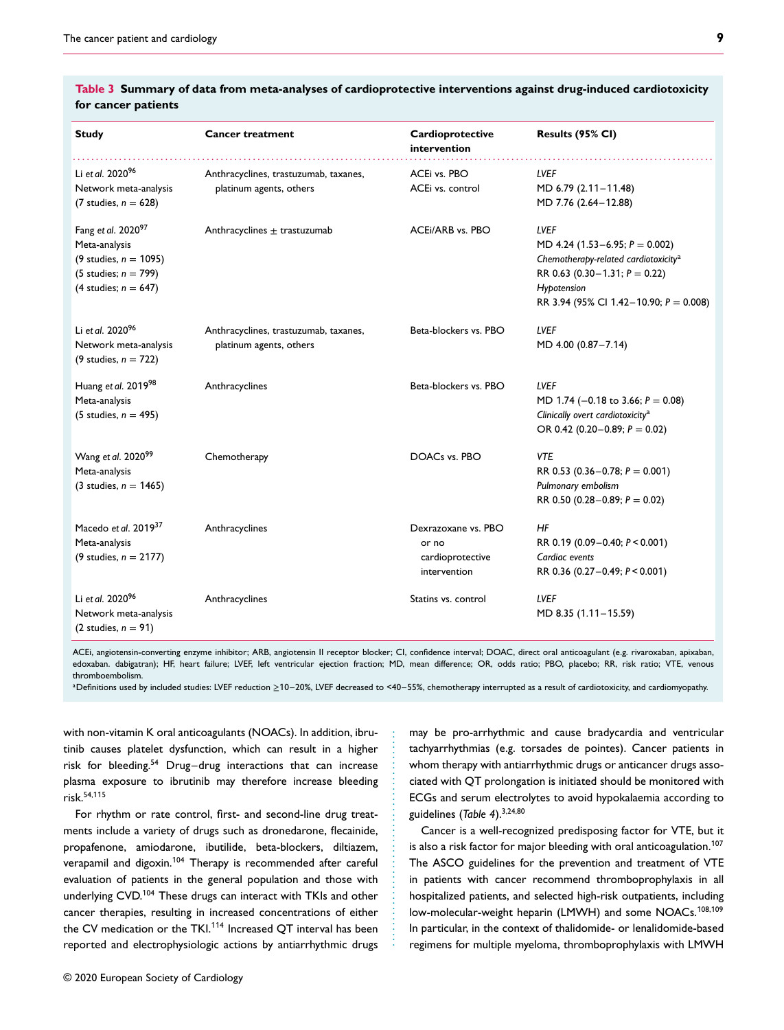| <b>Study</b>                                                                                                                      | <b>Cancer treatment</b>                                          | Cardioprotective<br>intervention                                 | Results (95% CI)                                                                                                                                                                                    |
|-----------------------------------------------------------------------------------------------------------------------------------|------------------------------------------------------------------|------------------------------------------------------------------|-----------------------------------------------------------------------------------------------------------------------------------------------------------------------------------------------------|
| Li et al. 2020 <sup>96</sup><br>Network meta-analysis<br>(7 studies, $n = 628$ )                                                  | Anthracyclines, trastuzumab, taxanes,<br>platinum agents, others | ACEi vs. PBO<br>ACEi vs. control                                 | <b>LVEF</b><br>MD 6.79 (2.11-11.48)<br>MD 7.76 (2.64-12.88)                                                                                                                                         |
| Fang et al. 2020 <sup>97</sup><br>Meta-analysis<br>(9 studies, $n = 1095$ )<br>(5 studies; $n = 799$ )<br>(4 studies; $n = 647$ ) | Anthracyclines $\pm$ trastuzumab                                 | ACEI/ARB vs. PBO                                                 | <b>LVEF</b><br>MD 4.24 (1.53–6.95; $P = 0.002$ )<br>Chemotherapy-related cardiotoxicity <sup>a</sup><br>RR 0.63 (0.30 - 1.31; $P = 0.22$ )<br>Hypotension<br>RR 3.94 (95% CI 1.42-10.90; P = 0.008) |
| Li et al. 2020 <sup>96</sup><br>Network meta-analysis<br>(9 studies, $n = 722$ )                                                  | Anthracyclines, trastuzumab, taxanes,<br>platinum agents, others | Beta-blockers vs. PBO                                            | <b>LVEF</b><br>MD 4.00 (0.87-7.14)                                                                                                                                                                  |
| Huang et al. 201998<br>Meta-analysis<br>(5 studies, $n = 495$ )                                                                   | Anthracyclines                                                   | Beta-blockers vs. PBO                                            | LVEF<br>MD 1.74 (-0.18 to 3.66; $P = 0.08$ )<br>Clinically overt cardiotoxicity <sup>a</sup><br>OR 0.42 (0.20-0.89; $P = 0.02$ )                                                                    |
| Wang et al. 2020 <sup>99</sup><br>Meta-analysis<br>$(3 \text{ studies}, n = 1465)$                                                | Chemotherapy                                                     | DOACs vs. PBO                                                    | <b>VTE</b><br>RR 0.53 (0.36-0.78; $P = 0.001$ )<br>Pulmonary embolism<br>RR 0.50 (0.28-0.89; $P = 0.02$ )                                                                                           |
| Macedo et al. 2019 <sup>37</sup><br>Meta-analysis<br>$(9 \text{ studies}, n = 2177)$                                              | Anthracyclines                                                   | Dexrazoxane vs. PBO<br>or no<br>cardioprotective<br>intervention | ΗF<br>RR 0.19 (0.09-0.40; P < 0.001)<br>Cardiac events<br>RR 0.36 (0.27-0.49; P < 0.001)                                                                                                            |
| Li et al. 2020 <sup>96</sup><br>Network meta-analysis<br>(2 studies, $n = 91$ )                                                   | Anthracyclines                                                   | Statins vs. control                                              | <b>LVEF</b><br>MD 8.35 (1.11-15.59)                                                                                                                                                                 |

**Table 3 Summary of data from meta-analyses of cardioprotective interventions against drug-induced cardiotoxicity for cancer patients**

ACEi, angiotensin-converting enzyme inhibitor; ARB, angiotensin II receptor blocker; CI, confidence interval; DOAC, direct oral anticoagulant (e.g. rivaroxaban, apixaban, edoxaban. dabigatran); HF, heart failure; LVEF, left ventricular ejection fraction; MD, mean difference; OR, odds ratio; PBO, placebo; RR, risk ratio; VTE, venous thromboembolism.

aDefinitions used by included studies: LVEF reduction ≥10–20%, LVEF decreased to <40–55%, chemotherapy interrupted as a result of cardiotoxicity, and cardiomyopathy.

..........................................

with non-vitamin K oral anticoagulants (NOACs). In addition, ibrutinib causes platelet dysfunction, which can result in a higher risk for bleeding.54 Drug–drug interactions that can increase plasma exposure to ibrutinib may therefore increase bleeding risk.54,<sup>11</sup><sup>5</sup>

For rhythm or rate control, first- and second-line drug treatments include a variety of drugs such as dronedarone, flecainide, propafenone, amiodarone, ibutilide, beta-blockers, diltiazem, verapamil and digoxin.<sup>104</sup> Therapy is recommended after careful evaluation of patients in the general population and those with underlying CVD.<sup>104</sup> These drugs can interact with TKIs and other cancer therapies, resulting in increased concentrations of either the CV medication or the TKI.<sup>114</sup> Increased QT interval has been reported and electrophysiologic actions by antiarrhythmic drugs

may be pro-arrhythmic and cause bradycardia and ventricular tachyarrhythmias (e.g. torsades de pointes). Cancer patients in whom therapy with antiarrhythmic drugs or anticancer drugs associated with QT prolongation is initiated should be monitored with ECGs and serum electrolytes to avoid hypokalaemia according to guidelines (*Table 4*).3,24,80

Cancer is a well-recognized predisposing factor for VTE, but it is also a risk factor for major bleeding with oral anticoagulation.<sup>107</sup> The ASCO guidelines for the prevention and treatment of VTE in patients with cancer recommend thromboprophylaxis in all hospitalized patients, and selected high-risk outpatients, including low-molecular-weight heparin (LMWH) and some NOACs.<sup>108,109</sup> In particular, in the context of thalidomide- or lenalidomide-based regimens for multiple myeloma, thromboprophylaxis with LMWH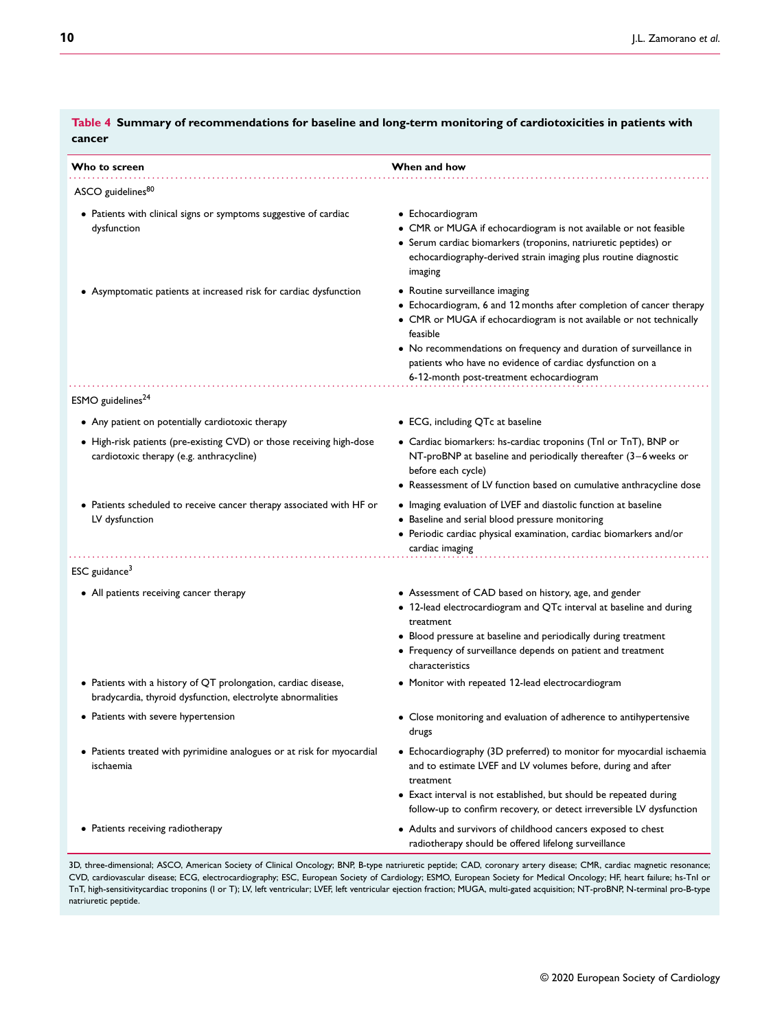| Who to screen                                                                                                                 | When and how                                                                                                                                                                                                                                                                                                                                                            |
|-------------------------------------------------------------------------------------------------------------------------------|-------------------------------------------------------------------------------------------------------------------------------------------------------------------------------------------------------------------------------------------------------------------------------------------------------------------------------------------------------------------------|
| ASCO guidelines <sup>80</sup>                                                                                                 |                                                                                                                                                                                                                                                                                                                                                                         |
| • Patients with clinical signs or symptoms suggestive of cardiac<br>dysfunction                                               | • Echocardiogram<br>• CMR or MUGA if echocardiogram is not available or not feasible<br>· Serum cardiac biomarkers (troponins, natriuretic peptides) or<br>echocardiography-derived strain imaging plus routine diagnostic<br>imaging                                                                                                                                   |
| • Asymptomatic patients at increased risk for cardiac dysfunction                                                             | • Routine surveillance imaging<br>• Echocardiogram, 6 and 12 months after completion of cancer therapy<br>• CMR or MUGA if echocardiogram is not available or not technically<br>feasible<br>• No recommendations on frequency and duration of surveillance in<br>patients who have no evidence of cardiac dysfunction on a<br>6-12-month post-treatment echocardiogram |
| ESMO guidelines <sup>24</sup>                                                                                                 |                                                                                                                                                                                                                                                                                                                                                                         |
| • Any patient on potentially cardiotoxic therapy                                                                              | • ECG, including QTc at baseline                                                                                                                                                                                                                                                                                                                                        |
| • High-risk patients (pre-existing CVD) or those receiving high-dose<br>cardiotoxic therapy (e.g. anthracycline)              | • Cardiac biomarkers: hs-cardiac troponins (Tnl or TnT), BNP or<br>NT-proBNP at baseline and periodically thereafter (3-6 weeks or<br>before each cycle)<br>• Reassessment of LV function based on cumulative anthracycline dose                                                                                                                                        |
| • Patients scheduled to receive cancer therapy associated with HF or<br>LV dysfunction                                        | • Imaging evaluation of LVEF and diastolic function at baseline<br>• Baseline and serial blood pressure monitoring<br>· Periodic cardiac physical examination, cardiac biomarkers and/or<br>cardiac imaging                                                                                                                                                             |
| ESC guidance <sup>3</sup>                                                                                                     |                                                                                                                                                                                                                                                                                                                                                                         |
| • All patients receiving cancer therapy                                                                                       | • Assessment of CAD based on history, age, and gender<br>• 12-lead electrocardiogram and QTc interval at baseline and during<br>treatment<br>• Blood pressure at baseline and periodically during treatment<br>• Frequency of surveillance depends on patient and treatment<br>characteristics                                                                          |
| • Patients with a history of QT prolongation, cardiac disease,<br>bradycardia, thyroid dysfunction, electrolyte abnormalities | • Monitor with repeated 12-lead electrocardiogram                                                                                                                                                                                                                                                                                                                       |
| • Patients with severe hypertension                                                                                           | • Close monitoring and evaluation of adherence to antihypertensive<br>drugs                                                                                                                                                                                                                                                                                             |
| • Patients treated with pyrimidine analogues or at risk for myocardial<br>ischaemia                                           | • Echocardiography (3D preferred) to monitor for myocardial ischaemia<br>and to estimate LVEF and LV volumes before, during and after<br>treatment<br>• Exact interval is not established, but should be repeated during<br>follow-up to confirm recovery, or detect irreversible LV dysfunction                                                                        |
| • Patients receiving radiotherapy                                                                                             | • Adults and survivors of childhood cancers exposed to chest<br>radiotherapy should be offered lifelong surveillance                                                                                                                                                                                                                                                    |

#### **Table 4 Summary of recommendations for baseline and long-term monitoring of cardiotoxicities in patients with cancer**

CVD, cardiovascular disease; ECG, electrocardiography; ESC, European Society of Cardiology; ESMO, European Society for Medical Oncology; HF, heart failure; hs-TnI or TnT, high-sensitivitycardiac troponins (I or T); LV, left ventricular; LVEF, left ventricular ejection fraction; MUGA, multi-gated acquisition; NT-proBNP, N-terminal pro-B-type natriuretic peptide.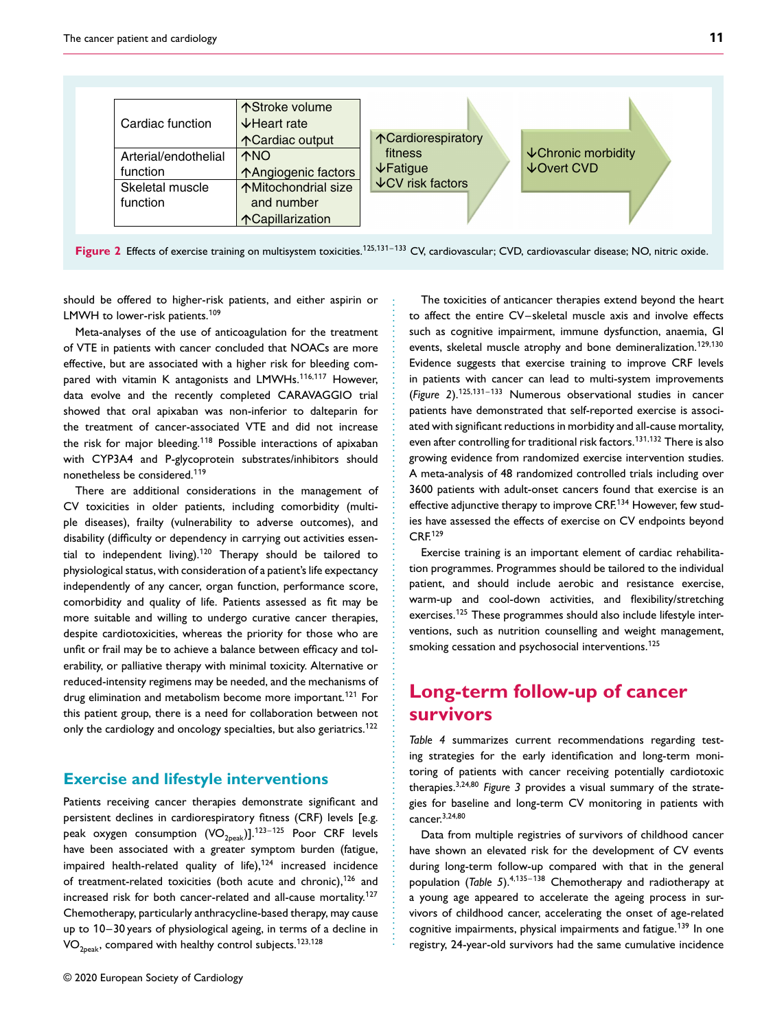| Cardiac function                 | 个Stroke volume<br>$\sqrt{\frac{1}{1}}$ Heart rate<br>个Cardiac output | 个Cardiorespiratory                      |                                                      |
|----------------------------------|----------------------------------------------------------------------|-----------------------------------------|------------------------------------------------------|
| Arterial/endothelial<br>function | <b>TNO</b><br>↑Angiogenic factors                                    | fitness<br>$\sqrt{\frac{1}{2}}$ Fatigue | $\sqrt{\frac{1}{2}}$ Chronic morbidity<br>↓Overt CVD |
| Skeletal muscle<br>function      | ↑ Mitochondrial size<br>and number<br>个Capillarization               | $\sqrt{CV}$ risk factors                |                                                      |

Figure 2 Effects of exercise training on multisystem toxicities.<sup>125,131-133</sup> CV, cardiovascular; CVD, cardiovascular disease; NO, nitric oxide.

................................................................. ............................................................

should be offered to higher-risk patients, and either aspirin or LMWH to lower-risk patients.<sup>109</sup>

Meta-analyses of the use of anticoagulation for the treatment of VTE in patients with cancer concluded that NOACs are more effective, but are associated with a higher risk for bleeding compared with vitamin K antagonists and LMWHs.<sup>116,117</sup> However, data evolve and the recently completed CARAVAGGIO trial showed that oral apixaban was non-inferior to dalteparin for the treatment of cancer-associated VTE and did not increase the risk for major bleeding.<sup>118</sup> Possible interactions of apixaban with CYP3A4 and P-glycoprotein substrates/inhibitors should nonetheless be considered.<sup>11</sup><sup>9</sup>

There are additional considerations in the management of CV toxicities in older patients, including comorbidity (multiple diseases), frailty (vulnerability to adverse outcomes), and disability (difficulty or dependency in carrying out activities essential to independent living).<sup>120</sup> Therapy should be tailored to physiological status, with consideration of a patient's life expectancy independently of any cancer, organ function, performance score, comorbidity and quality of life. Patients assessed as fit may be more suitable and willing to undergo curative cancer therapies, despite cardiotoxicities, whereas the priority for those who are unfit or frail may be to achieve a balance between efficacy and tolerability, or palliative therapy with minimal toxicity. Alternative or reduced-intensity regimens may be needed, and the mechanisms of drug elimination and metabolism become more important.<sup>121</sup> For this patient group, there is a need for collaboration between not only the cardiology and oncology specialties, but also geriatrics.<sup>122</sup>

#### **Exercise and lifestyle interventions**

Patients receiving cancer therapies demonstrate significant and persistent declines in cardiorespiratory fitness (CRF) levels [e.g. peak oxygen consumption  $(VO_{2p}R)$ ].<sup>123–125</sup> Poor CRF levels have been associated with a greater symptom burden (fatigue, impaired health-related quality of life), $124$  increased incidence of treatment-related toxicities (both acute and chronic),<sup>126</sup> and increased risk for both cancer-related and all-cause mortality.<sup>1</sup><sup>27</sup> Chemotherapy, particularly anthracycline-based therapy, may cause up to 10–30 years of physiological ageing, in terms of a decline in  $VO<sub>2peak</sub>$ , compared with healthy control subjects.<sup>123,128</sup>

The toxicities of anticancer therapies extend beyond the heart to affect the entire CV–skeletal muscle axis and involve effects such as cognitive impairment, immune dysfunction, anaemia, GI events, skeletal muscle atrophy and bone demineralization.<sup>129,130</sup> Evidence suggests that exercise training to improve CRF levels in patients with cancer can lead to multi-system improvements (*Figure 2*).<sup>1</sup>25,131–1<sup>33</sup> Numerous observational studies in cancer patients have demonstrated that self-reported exercise is associated with significant reductions in morbidity and all-cause mortality, even after controlling for traditional risk factors.<sup>131,132</sup> There is also growing evidence from randomized exercise intervention studies. A meta-analysis of 48 randomized controlled trials including over 3600 patients with adult-onset cancers found that exercise is an effective adjunctive therapy to improve CRF.<sup>134</sup> However, few studies have assessed the effects of exercise on CV endpoints beyond CRF.<sup>1</sup><sup>29</sup>

Exercise training is an important element of cardiac rehabilitation programmes. Programmes should be tailored to the individual patient, and should include aerobic and resistance exercise, warm-up and cool-down activities, and flexibility/stretching exercises.<sup>125</sup> These programmes should also include lifestyle interventions, such as nutrition counselling and weight management, smoking cessation and psychosocial interventions.<sup>125</sup>

### **Long-term follow-up of cancer survivors**

*Table 4* summarizes current recommendations regarding testing strategies for the early identification and long-term monitoring of patients with cancer receiving potentially cardiotoxic therapies.3,24,80 *Figure 3* provides a visual summary of the strategies for baseline and long-term CV monitoring in patients with cancer.3,24,80

Data from multiple registries of survivors of childhood cancer have shown an elevated risk for the development of CV events during long-term follow-up compared with that in the general population (*Table 5*).4,<sup>1</sup>35–1<sup>38</sup> Chemotherapy and radiotherapy at a young age appeared to accelerate the ageing process in survivors of childhood cancer, accelerating the onset of age-related cognitive impairments, physical impairments and fatigue.<sup>139</sup> In one registry, 24-year-old survivors had the same cumulative incidence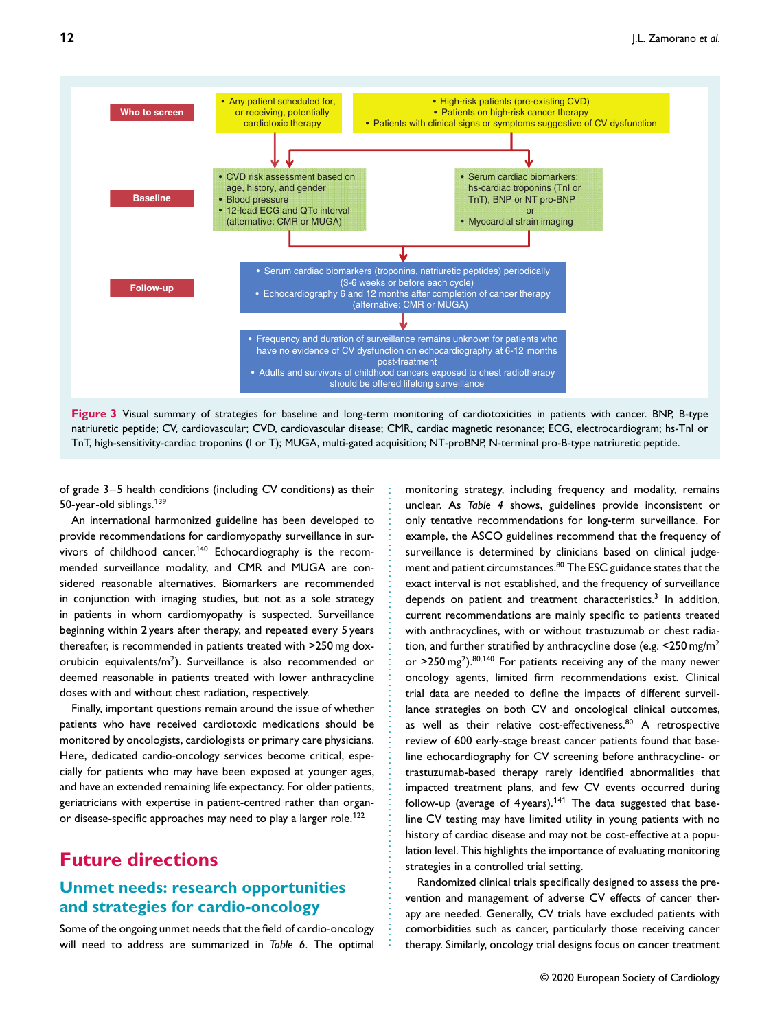

**Figure 3** Visual summary of strategies for baseline and long-term monitoring of cardiotoxicities in patients with cancer. BNP, B-type natriuretic peptide; CV, cardiovascular; CVD, cardiovascular disease; CMR, cardiac magnetic resonance; ECG, electrocardiogram; hs-TnI or TnT, high-sensitivity-cardiac troponins (I or T); MUGA, multi-gated acquisition; NT-proBNP, N-terminal pro-B-type natriuretic peptide.

.........................................................................................

of grade 3–5 health conditions (including CV conditions) as their 50-year-old siblings.<sup>139</sup>

An international harmonized guideline has been developed to provide recommendations for cardiomyopathy surveillance in survivors of childhood cancer.<sup>140</sup> Echocardiography is the recommended surveillance modality, and CMR and MUGA are considered reasonable alternatives. Biomarkers are recommended in conjunction with imaging studies, but not as a sole strategy in patients in whom cardiomyopathy is suspected. Surveillance beginning within 2 years after therapy, and repeated every 5 years thereafter, is recommended in patients treated with >250 mg doxorubicin equivalents/ $m^2$ ). Surveillance is also recommended or deemed reasonable in patients treated with lower anthracycline doses with and without chest radiation, respectively.

Finally, important questions remain around the issue of whether patients who have received cardiotoxic medications should be monitored by oncologists, cardiologists or primary care physicians. Here, dedicated cardio-oncology services become critical, especially for patients who may have been exposed at younger ages, and have an extended remaining life expectancy. For older patients, geriatricians with expertise in patient-centred rather than organor disease-specific approaches may need to play a larger role.<sup>122</sup>

## **Future directions**

### **Unmet needs: research opportunities and strategies for cardio-oncology**

Some of the ongoing unmet needs that the field of cardio-oncology will need to address are summarized in *Table 6*. The optimal monitoring strategy, including frequency and modality, remains unclear. As *Table 4* shows, guidelines provide inconsistent or only tentative recommendations for long-term surveillance. For example, the ASCO guidelines recommend that the frequency of surveillance is determined by clinicians based on clinical judgement and patient circumstances.<sup>80</sup> The ESC guidance states that the exact interval is not established, and the frequency of surveillance depends on patient and treatment characteristics.<sup>3</sup> In addition, current recommendations are mainly specific to patients treated with anthracyclines, with or without trastuzumab or chest radiation, and further stratified by anthracycline dose (e.g.  $\leq$ 250 mg/m<sup>2</sup> or  $>$  250 mg<sup>2</sup>).<sup>80,140</sup> For patients receiving any of the many newer oncology agents, limited firm recommendations exist. Clinical trial data are needed to define the impacts of different surveillance strategies on both CV and oncological clinical outcomes, as well as their relative cost-effectiveness.<sup>80</sup> A retrospective review of 600 early-stage breast cancer patients found that baseline echocardiography for CV screening before anthracycline- or trastuzumab-based therapy rarely identified abnormalities that impacted treatment plans, and few CV events occurred during follow-up (average of  $4$  years).<sup>141</sup> The data suggested that baseline CV testing may have limited utility in young patients with no history of cardiac disease and may not be cost-effective at a population level. This highlights the importance of evaluating monitoring strategies in a controlled trial setting.

Randomized clinical trials specifically designed to assess the prevention and management of adverse CV effects of cancer therapy are needed. Generally, CV trials have excluded patients with comorbidities such as cancer, particularly those receiving cancer therapy. Similarly, oncology trial designs focus on cancer treatment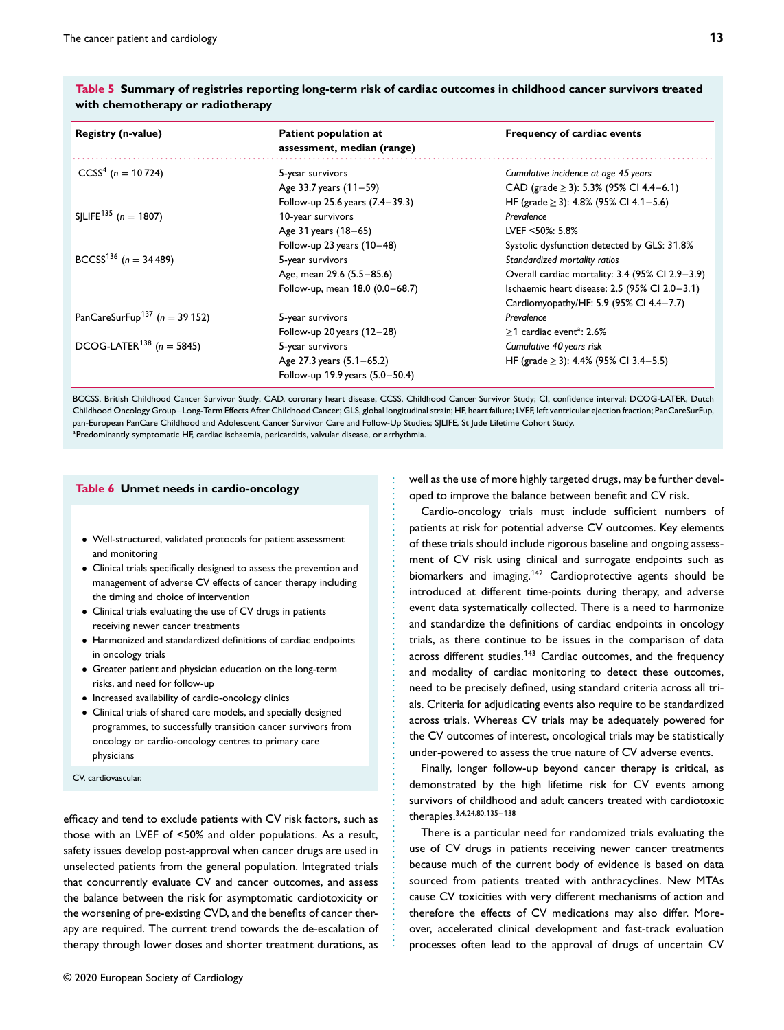| <b>Registry (n-value)</b>                    | Patient population at<br>assessment, median (range)                              | Frequency of cardiac events                                                                                                                                                  |
|----------------------------------------------|----------------------------------------------------------------------------------|------------------------------------------------------------------------------------------------------------------------------------------------------------------------------|
| $CCSS4$ (n = 10 724)                         | 5-year survivors<br>Age 33.7 years (11–59)<br>Follow-up 25.6 years (7.4-39.3)    | Cumulative incidence at age 45 years<br>CAD (grade $\geq$ 3): 5.3% (95% CI 4.4–6.1)<br>HF (grade $\geq$ 3): 4.8% (95% CI 4.1–5.6)                                            |
| S LIFE <sup>135</sup> (n = 1807)             | 10-year survivors<br>Age 31 years (18–65)<br>Follow-up 23 years $(10-48)$        | Prevalence<br>LVEF <50%: 5.8%<br>Systolic dysfunction detected by GLS: 31.8%                                                                                                 |
| BCCSS <sup>136</sup> (n = 34 489)            | 5-year survivors<br>Age, mean 29.6 (5.5–85.6)<br>Follow-up, mean 18.0 (0.0–68.7) | Standardized mortality ratios<br>Overall cardiac mortality: 3.4 (95% CI 2.9-3.9)<br>Ischaemic heart disease: 2.5 (95% CI 2.0-3.1)<br>Cardiomyopathy/HF: 5.9 (95% CI 4.4–7.7) |
| PanCareSurFup <sup>137</sup> ( $n = 39$ 152) | 5-year survivors<br>Follow-up 20 years $(12-28)$                                 | Prevalence<br>$\geq$ 1 cardiac event <sup>a</sup> : 2.6%                                                                                                                     |
| DCOG-LATER <sup>138</sup> (n = 5845)         | 5-year survivors<br>Age 27.3 years (5.1–65.2)<br>Follow-up 19.9 years (5.0–50.4) | Cumulative 40 years risk<br>HF (grade $\geq$ 3): 4.4% (95% CI 3.4–5.5)                                                                                                       |

**Table 5 Summary of registries reporting long-term risk of cardiac outcomes in childhood cancer survivors treated with chemotherapy or radiotherapy**

BCCSS, British Childhood Cancer Survivor Study; CAD, coronary heart disease; CCSS, Childhood Cancer Survivor Study; CI, confidence interval; DCOG-LATER, Dutch Childhood Oncology Group–Long-Term Effects After Childhood Cancer; GLS, global longitudinal strain; HF, heart failure; LVEF, left ventricular ejection fraction; PanCareSurFup, pan-European PanCare Childhood and Adolescent Cancer Survivor Care and Follow-Up Studies; SJLIFE, St Jude Lifetime Cohort Study. <sup>a</sup>Predominantly symptomatic HF, cardiac ischaemia, pericarditis, valvular disease, or arrhythmia.

...........................................................................................

**Table 6 Unmet needs in cardio-oncology**

- Well-structured, validated protocols for patient assessment and monitoring
- Clinical trials specifically designed to assess the prevention and management of adverse CV effects of cancer therapy including the timing and choice of intervention
- Clinical trials evaluating the use of CV drugs in patients receiving newer cancer treatments
- Harmonized and standardized definitions of cardiac endpoints in oncology trials
- Greater patient and physician education on the long-term risks, and need for follow-up
- Increased availability of cardio-oncology clinics
- Clinical trials of shared care models, and specially designed programmes, to successfully transition cancer survivors from oncology or cardio-oncology centres to primary care physicians

#### CV, cardiovascular.

efficacy and tend to exclude patients with CV risk factors, such as those with an LVEF of <50% and older populations. As a result, safety issues develop post-approval when cancer drugs are used in unselected patients from the general population. Integrated trials that concurrently evaluate CV and cancer outcomes, and assess the balance between the risk for asymptomatic cardiotoxicity or the worsening of pre-existing CVD, and the benefits of cancer therapy are required. The current trend towards the de-escalation of therapy through lower doses and shorter treatment durations, as

© 2020 European Society of Cardiology

well as the use of more highly targeted drugs, may be further developed to improve the balance between benefit and CV risk.

Cardio-oncology trials must include sufficient numbers of patients at risk for potential adverse CV outcomes. Key elements of these trials should include rigorous baseline and ongoing assessment of CV risk using clinical and surrogate endpoints such as biomarkers and imaging.<sup>142</sup> Cardioprotective agents should be introduced at different time-points during therapy, and adverse event data systematically collected. There is a need to harmonize and standardize the definitions of cardiac endpoints in oncology trials, as there continue to be issues in the comparison of data across different studies.<sup>143</sup> Cardiac outcomes, and the frequency and modality of cardiac monitoring to detect these outcomes, need to be precisely defined, using standard criteria across all trials. Criteria for adjudicating events also require to be standardized across trials. Whereas CV trials may be adequately powered for the CV outcomes of interest, oncological trials may be statistically under-powered to assess the true nature of CV adverse events.

Finally, longer follow-up beyond cancer therapy is critical, as demonstrated by the high lifetime risk for CV events among survivors of childhood and adult cancers treated with cardiotoxic therapies.3,4,24,80,<sup>1</sup>35–1<sup>38</sup>

There is a particular need for randomized trials evaluating the use of CV drugs in patients receiving newer cancer treatments because much of the current body of evidence is based on data sourced from patients treated with anthracyclines. New MTAs cause CV toxicities with very different mechanisms of action and therefore the effects of CV medications may also differ. Moreover, accelerated clinical development and fast-track evaluation processes often lead to the approval of drugs of uncertain CV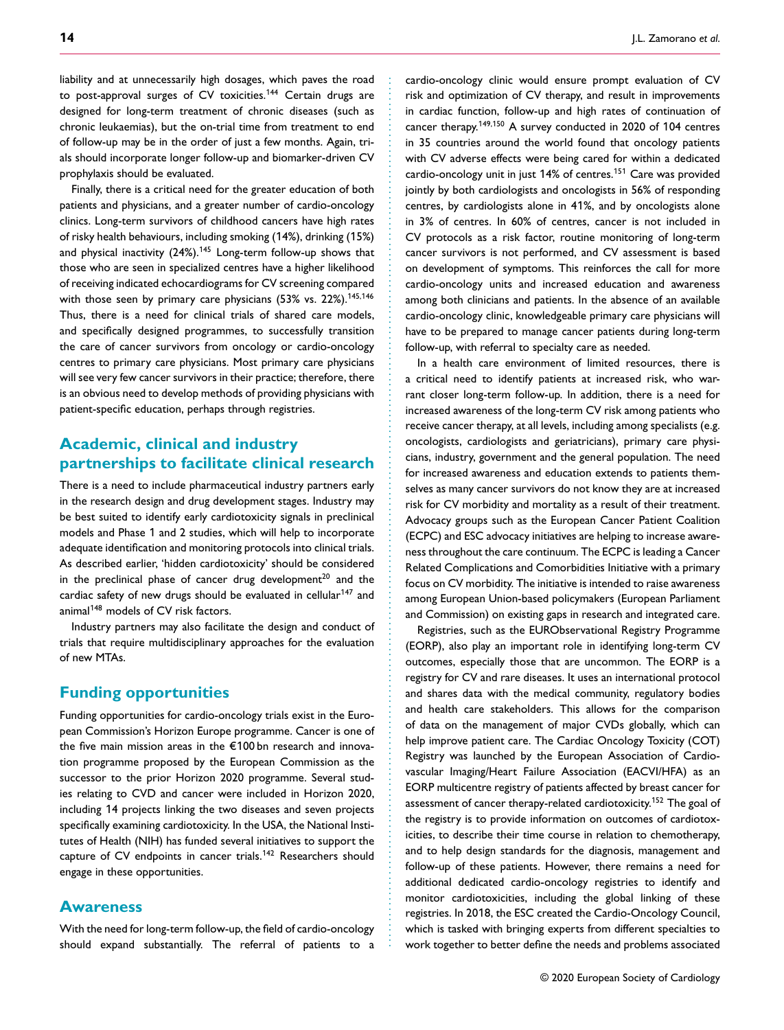liability and at unnecessarily high dosages, which paves the road to post-approval surges of CV toxicities.<sup>144</sup> Certain drugs are designed for long-term treatment of chronic diseases (such as chronic leukaemias), but the on-trial time from treatment to end of follow-up may be in the order of just a few months. Again, trials should incorporate longer follow-up and biomarker-driven CV prophylaxis should be evaluated.

Finally, there is a critical need for the greater education of both patients and physicians, and a greater number of cardio-oncology clinics. Long-term survivors of childhood cancers have high rates of risky health behaviours, including smoking (14%), drinking (15%) and physical inactivity  $(24\%)$ .<sup>145</sup> Long-term follow-up shows that those who are seen in specialized centres have a higher likelihood of receiving indicated echocardiograms for CV screening compared with those seen by primary care physicians (53% vs. 22%).<sup>145,146</sup> Thus, there is a need for clinical trials of shared care models, and specifically designed programmes, to successfully transition the care of cancer survivors from oncology or cardio-oncology centres to primary care physicians. Most primary care physicians will see very few cancer survivors in their practice; therefore, there is an obvious need to develop methods of providing physicians with patient-specific education, perhaps through registries.

### **Academic, clinical and industry partnerships to facilitate clinical research**

There is a need to include pharmaceutical industry partners early in the research design and drug development stages. Industry may be best suited to identify early cardiotoxicity signals in preclinical models and Phase 1 and 2 studies, which will help to incorporate adequate identification and monitoring protocols into clinical trials. As described earlier, 'hidden cardiotoxicity' should be considered in the preclinical phase of cancer drug development<sup>20</sup> and the cardiac safety of new drugs should be evaluated in cellular<sup>147</sup> and animal<sup>148</sup> models of CV risk factors.

Industry partners may also facilitate the design and conduct of trials that require multidisciplinary approaches for the evaluation of new MTAs.

#### **Funding opportunities**

Funding opportunities for cardio-oncology trials exist in the European Commission's Horizon Europe programme. Cancer is one of the five main mission areas in the €100 bn research and innovation programme proposed by the European Commission as the successor to the prior Horizon 2020 programme. Several studies relating to CVD and cancer were included in Horizon 2020, including 14 projects linking the two diseases and seven projects specifically examining cardiotoxicity. In the USA, the National Institutes of Health (NIH) has funded several initiatives to support the capture of CV endpoints in cancer trials.<sup>142</sup> Researchers should engage in these opportunities.

#### **Awareness**

With the need for long-term follow-up, the field of cardio-oncology should expand substantially. The referral of patients to a cardio-oncology clinic would ensure prompt evaluation of CV risk and optimization of CV therapy, and result in improvements in cardiac function, follow-up and high rates of continuation of cancer therapy.<sup>1</sup>49,1<sup>50</sup> A survey conducted in 2020 of 104 centres in 35 countries around the world found that oncology patients with CV adverse effects were being cared for within a dedicated cardio-oncology unit in just 14% of centres.<sup>151</sup> Care was provided jointly by both cardiologists and oncologists in 56% of responding centres, by cardiologists alone in 41%, and by oncologists alone in 3% of centres. In 60% of centres, cancer is not included in CV protocols as a risk factor, routine monitoring of long-term cancer survivors is not performed, and CV assessment is based on development of symptoms. This reinforces the call for more cardio-oncology units and increased education and awareness among both clinicians and patients. In the absence of an available cardio-oncology clinic, knowledgeable primary care physicians will have to be prepared to manage cancer patients during long-term follow-up, with referral to specialty care as needed.

In a health care environment of limited resources, there is a critical need to identify patients at increased risk, who warrant closer long-term follow-up. In addition, there is a need for increased awareness of the long-term CV risk among patients who receive cancer therapy, at all levels, including among specialists (e.g. oncologists, cardiologists and geriatricians), primary care physicians, industry, government and the general population. The need for increased awareness and education extends to patients themselves as many cancer survivors do not know they are at increased risk for CV morbidity and mortality as a result of their treatment. Advocacy groups such as the European Cancer Patient Coalition (ECPC) and ESC advocacy initiatives are helping to increase awareness throughout the care continuum. The ECPC is leading a Cancer Related Complications and Comorbidities Initiative with a primary focus on CV morbidity. The initiative is intended to raise awareness among European Union-based policymakers (European Parliament and Commission) on existing gaps in research and integrated care.

............................................................... ................................................................ .........................................

Registries, such as the EURObservational Registry Programme (EORP), also play an important role in identifying long-term CV outcomes, especially those that are uncommon. The EORP is a registry for CV and rare diseases. It uses an international protocol and shares data with the medical community, regulatory bodies and health care stakeholders. This allows for the comparison of data on the management of major CVDs globally, which can help improve patient care. The Cardiac Oncology Toxicity (COT) Registry was launched by the European Association of Cardiovascular Imaging/Heart Failure Association (EACVI/HFA) as an EORP multicentre registry of patients affected by breast cancer for assessment of cancer therapy-related cardiotoxicity.<sup>152</sup> The goal of the registry is to provide information on outcomes of cardiotoxicities, to describe their time course in relation to chemotherapy, and to help design standards for the diagnosis, management and follow-up of these patients. However, there remains a need for additional dedicated cardio-oncology registries to identify and monitor cardiotoxicities, including the global linking of these registries. In 2018, the ESC created the Cardio-Oncology Council, which is tasked with bringing experts from different specialties to work together to better define the needs and problems associated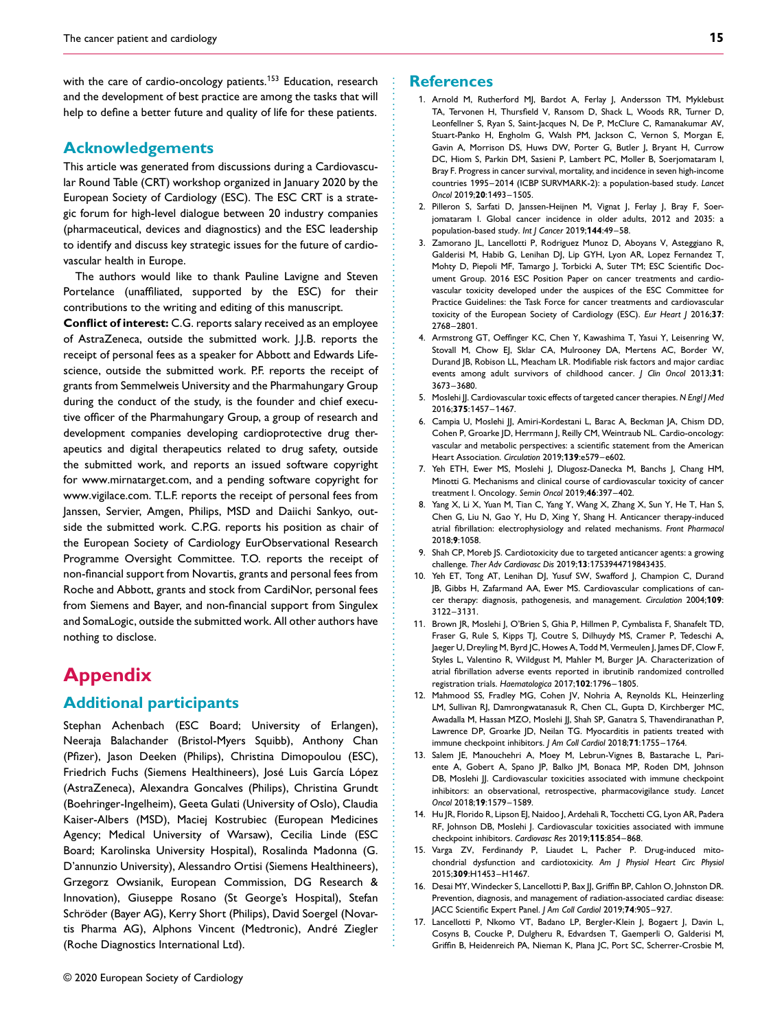with the care of cardio-oncology patients.<sup>153</sup> Education, research and the development of best practice are among the tasks that will help to define a better future and quality of life for these patients.

#### **Acknowledgements**

This article was generated from discussions during a Cardiovascular Round Table (CRT) workshop organized in January 2020 by the European Society of Cardiology (ESC). The ESC CRT is a strategic forum for high-level dialogue between 20 industry companies (pharmaceutical, devices and diagnostics) and the ESC leadership to identify and discuss key strategic issues for the future of cardiovascular health in Europe.

The authors would like to thank Pauline Lavigne and Steven Portelance (unaffiliated, supported by the ESC) for their contributions to the writing and editing of this manuscript.

**Conflict of interest:** C.G. reports salary received as an employee of AstraZeneca, outside the submitted work. J.J.B. reports the receipt of personal fees as a speaker for Abbott and Edwards Lifescience, outside the submitted work. P.F. reports the receipt of grants from Semmelweis University and the Pharmahungary Group during the conduct of the study, is the founder and chief executive officer of the Pharmahungary Group, a group of research and development companies developing cardioprotective drug therapeutics and digital therapeutics related to drug safety, outside the submitted work, and reports an issued software copyright for [www.mirnatarget.com,](http://www.mirnatarget.com) and a pending software copyright for [www.vigilace.com.](http://www.vigilace.com) T.L.F. reports the receipt of personal fees from Janssen, Servier, Amgen, Philips, MSD and Daiichi Sankyo, outside the submitted work. C.P.G. reports his position as chair of the European Society of Cardiology EurObservational Research Programme Oversight Committee. T.O. reports the receipt of non-financial support from Novartis, grants and personal fees from Roche and Abbott, grants and stock from CardiNor, personal fees from Siemens and Bayer, and non-financial support from Singulex and SomaLogic, outside the submitted work. All other authors have nothing to disclose.

### **Appendix**

#### **Additional participants**

Stephan Achenbach (ESC Board; University of Erlangen), Neeraja Balachander (Bristol-Myers Squibb), Anthony Chan (Pfizer), Jason Deeken (Philips), Christina Dimopoulou (ESC), Friedrich Fuchs (Siemens Healthineers), José Luis García López (AstraZeneca), Alexandra Goncalves (Philips), Christina Grundt (Boehringer-Ingelheim), Geeta Gulati (University of Oslo), Claudia Kaiser-Albers (MSD), Maciej Kostrubiec (European Medicines Agency; Medical University of Warsaw), Cecilia Linde (ESC Board; Karolinska University Hospital), Rosalinda Madonna (G. D'annunzio University), Alessandro Ortisi (Siemens Healthineers), Grzegorz Owsianik, European Commission, DG Research & Innovation), Giuseppe Rosano (St George's Hospital), Stefan Schröder (Bayer AG), Kerry Short (Philips), David Soergel (Novartis Pharma AG), Alphons Vincent (Medtronic), André Ziegler (Roche Diagnostics International Ltd).

#### **References**

............................................................... ................................................................ .........................................

- 1. Arnold M, Rutherford MJ, Bardot A, Ferlay J, Andersson TM, Myklebust TA, Tervonen H, Thursfield V, Ransom D, Shack L, Woods RR, Turner D, Leonfellner S, Ryan S, Saint-Jacques N, De P, McClure C, Ramanakumar AV, Stuart-Panko H, Engholm G, Walsh PM, Jackson C, Vernon S, Morgan E, Gavin A, Morrison DS, Huws DW, Porter G, Butler J, Bryant H, Currow DC, Hiom S, Parkin DM, Sasieni P, Lambert PC, Moller B, Soerjomataram I, Bray F. Progress in cancer survival, mortality, and incidence in seven high-income countries 1995–2014 (ICBP SURVMARK-2): a population-based study. *Lancet Oncol* 2019;**20**:1493–1505.
- 2. Pilleron S, Sarfati D, Janssen-Heijnen M, Vignat J, Ferlay J, Bray F, Soerjomataram I. Global cancer incidence in older adults, 2012 and 2035: a population-based study. *Int J Cancer* 2019;**144**:49–58.
- 3. Zamorano JL, Lancellotti P, Rodriguez Munoz D, Aboyans V, Asteggiano R, Galderisi M, Habib G, Lenihan DJ, Lip GYH, Lyon AR, Lopez Fernandez T, Mohty D, Piepoli MF, Tamargo J, Torbicki A, Suter TM; ESC Scientific Document Group. 2016 ESC Position Paper on cancer treatments and cardiovascular toxicity developed under the auspices of the ESC Committee for Practice Guidelines: the Task Force for cancer treatments and cardiovascular toxicity of the European Society of Cardiology (ESC). *Eur Heart J* 2016;**37**: 2768–2801.
- 4. Armstrong GT, Oeffinger KC, Chen Y, Kawashima T, Yasui Y, Leisenring W, Stovall M, Chow EJ, Sklar CA, Mulrooney DA, Mertens AC, Border W, Durand JB, Robison LL, Meacham LR. Modifiable risk factors and major cardiac events among adult survivors of childhood cancer. *J Clin Oncol* 2013;**31**: 3673–3680.
- 5. Moslehi JJ. Cardiovascular toxic effects of targeted cancer therapies. *N Engl J Med* 2016;**375**:1457–1467.
- 6. Campia U, Moslehi JJ, Amiri-Kordestani L, Barac A, Beckman JA, Chism DD, Cohen P, Groarke JD, Herrmann J, Reilly CM, Weintraub NL. Cardio-oncology: vascular and metabolic perspectives: a scientific statement from the American Heart Association. *Circulation* 2019;**139**:e579–e602.
- 7. Yeh ETH, Ewer MS, Moslehi J, Dlugosz-Danecka M, Banchs J, Chang HM, Minotti G. Mechanisms and clinical course of cardiovascular toxicity of cancer treatment I. Oncology. *Semin Oncol* 2019;**46**:397–402.
- 8. Yang X, Li X, Yuan M, Tian C, Yang Y, Wang X, Zhang X, Sun Y, He T, Han S, Chen G, Liu N, Gao Y, Hu D, Xing Y, Shang H. Anticancer therapy-induced atrial fibrillation: electrophysiology and related mechanisms. *Front Pharmacol* 2018;**9**:1058.
- 9. Shah CP, Moreb JS. Cardiotoxicity due to targeted anticancer agents: a growing challenge. *Ther Adv Cardiovasc Dis* 2019;**13**:1753944719843435.
- 10. Yeh ET, Tong AT, Lenihan DJ, Yusuf SW, Swafford J, Champion C, Durand JB, Gibbs H, Zafarmand AA, Ewer MS. Cardiovascular complications of cancer therapy: diagnosis, pathogenesis, and management. *Circulation* 2004;**109**: 3122–3131.
- 11. Brown JR, Moslehi J, O'Brien S, Ghia P, Hillmen P, Cymbalista F, Shanafelt TD, Fraser G, Rule S, Kipps TJ, Coutre S, Dilhuydy MS, Cramer P, Tedeschi A, Jaeger U, Dreyling M, Byrd JC, Howes A, Todd M, Vermeulen J, James DF, Clow F, Styles L, Valentino R, Wildgust M, Mahler M, Burger JA. Characterization of atrial fibrillation adverse events reported in ibrutinib randomized controlled registration trials. *Haematologica* 2017;**102**:1796–1805.
- 12. Mahmood SS, Fradley MG, Cohen JV, Nohria A, Reynolds KL, Heinzerling LM, Sullivan RJ, Damrongwatanasuk R, Chen CL, Gupta D, Kirchberger MC, Awadalla M, Hassan MZO, Moslehi JJ, Shah SP, Ganatra S, Thavendiranathan P, Lawrence DP, Groarke JD, Neilan TG. Myocarditis in patients treated with immune checkpoint inhibitors. *J Am Coll Cardiol* 2018;**71**:1755–1764.
- 13. Salem JE, Manouchehri A, Moey M, Lebrun-Vignes B, Bastarache L, Pariente A, Gobert A, Spano JP, Balko JM, Bonaca MP, Roden DM, Johnson DB, Moslehi JJ. Cardiovascular toxicities associated with immune checkpoint inhibitors: an observational, retrospective, pharmacovigilance study. *Lancet Oncol* 2018;**19**:1579–1589.
- 14. Hu JR, Florido R, Lipson EJ, Naidoo J, Ardehali R, Tocchetti CG, Lyon AR, Padera RF, Johnson DB, Moslehi J. Cardiovascular toxicities associated with immune checkpoint inhibitors. *Cardiovasc Res* 2019;**115**:854–868.
- 15. Varga ZV, Ferdinandy P, Liaudet L, Pacher P. Drug-induced mitochondrial dysfunction and cardiotoxicity. *Am J Physiol Heart Circ Physiol* 2015;**309**:H1453–H1467.
- 16. Desai MY, Windecker S, Lancellotti P, Bax JJ, Griffin BP, Cahlon O, Johnston DR. Prevention, diagnosis, and management of radiation-associated cardiac disease: JACC Scientific Expert Panel. *J Am Coll Cardiol* 2019;**74**:905–927.
- 17. Lancellotti P, Nkomo VT, Badano LP, Bergler-Klein J, Bogaert J, Davin L, Cosyns B, Coucke P, Dulgheru R, Edvardsen T, Gaemperli O, Galderisi M, Griffin B, Heidenreich PA, Nieman K, Plana JC, Port SC, Scherrer-Crosbie M,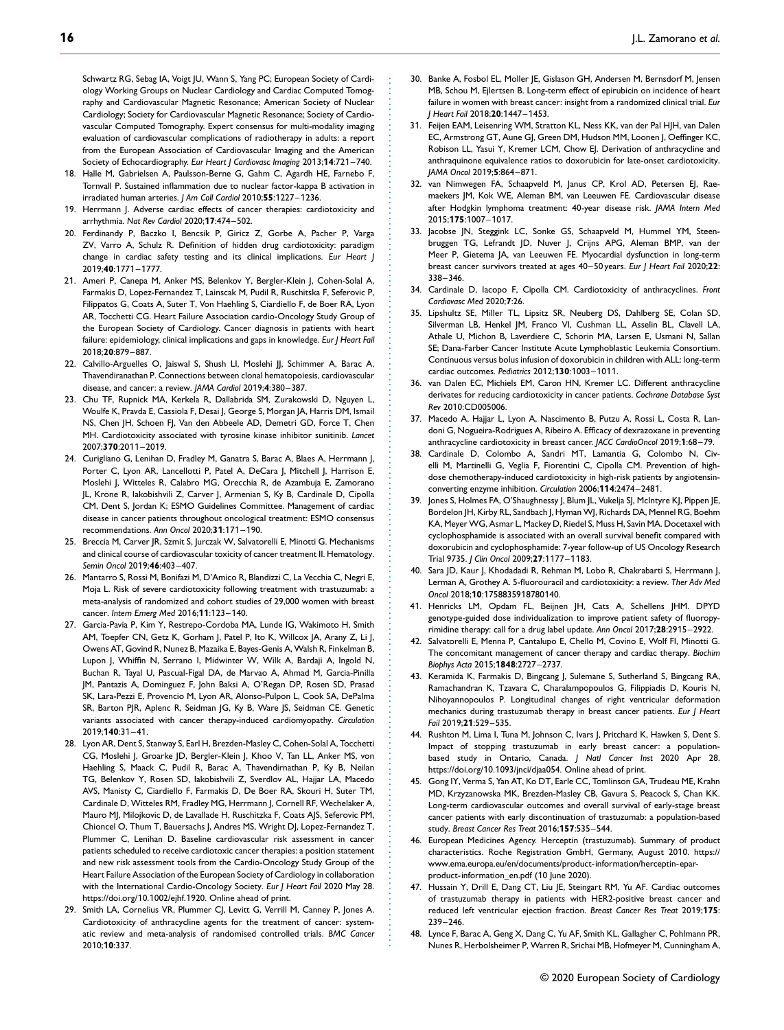Schwartz RG, Sebag IA, Voigt JU, Wann S, Yang PC; European Society of Cardiology Working Groups on Nuclear Cardiology and Cardiac Computed Tomography and Cardiovascular Magnetic Resonance; American Society of Nuclear Cardiology; Society for Cardiovascular Magnetic Resonance; Society of Cardiovascular Computed Tomography. Expert consensus for multi-modality imaging evaluation of cardiovascular complications of radiotherapy in adults: a report from the European Association of Cardiovascular Imaging and the American Society of Echocardiography. *Eur Heart J Cardiovasc Imaging* 2013;**14**:721–740.

- 18. Halle M, Gabrielsen A, Paulsson-Berne G, Gahm C, Agardh HE, Farnebo F, Tornvall P. Sustained inflammation due to nuclear factor-kappa B activation in irradiated human arteries. *J Am Coll Cardiol* 2010;**55**:1227–1236.
- 19. Herrmann J. Adverse cardiac effects of cancer therapies: cardiotoxicity and arrhythmia. *Nat Rev Cardiol* 2020;**17**:474–502.
- 20. Ferdinandy P, Baczko I, Bencsik P, Giricz Z, Gorbe A, Pacher P, Varga ZV, Varro A, Schulz R. Definition of hidden drug cardiotoxicity: paradigm change in cardiac safety testing and its clinical implications. *Eur Heart J* 2019;**40**:1771–1777.
- 21. Ameri P, Canepa M, Anker MS, Belenkov Y, Bergler-Klein J, Cohen-Solal A, Farmakis D, Lopez-Fernandez T, Lainscak M, Pudil R, Ruschitska F, Seferovic P, Filippatos G, Coats A, Suter T, Von Haehling S, Ciardiello F, de Boer RA, Lyon AR, Tocchetti CG. Heart Failure Association cardio-Oncology Study Group of the European Society of Cardiology. Cancer diagnosis in patients with heart failure: epidemiology, clinical implications and gaps in knowledge. *Eur J Heart Fail* 2018;**20**:879–887.
- 22. Calvillo-Arguelles O, Jaiswal S, Shush LI, Moslehi JJ, Schimmer A, Barac A, Thavendiranathan P. Connections between clonal hematopoiesis, cardiovascular disease, and cancer: a review. *JAMA Cardiol* 2019;**4**:380–387.
- 23. Chu TF, Rupnick MA, Kerkela R, Dallabrida SM, Zurakowski D, Nguyen L, Woulfe K, Pravda E, Cassiola F, Desai J, George S, Morgan JA, Harris DM, Ismail NS, Chen JH, Schoen FJ, Van den Abbeele AD, Demetri GD, Force T, Chen MH. Cardiotoxicity associated with tyrosine kinase inhibitor sunitinib. *Lancet* 2007;**370**:2011–2019.
- 24. Curigliano G, Lenihan D, Fradley M, Ganatra S, Barac A, Blaes A, Herrmann J, Porter C, Lyon AR, Lancellotti P, Patel A, DeCara J, Mitchell J, Harrison E, Moslehi J, Witteles R, Calabro MG, Orecchia R, de Azambuja E, Zamorano JL, Krone R, Iakobishvili Z, Carver J, Armenian S, Ky B, Cardinale D, Cipolla CM, Dent S, Jordan K; ESMO Guidelines Committee. Management of cardiac disease in cancer patients throughout oncological treatment: ESMO consensus recommendations. *Ann Oncol* 2020;**31**:171–190.

............................................................... ................................................................ .........................................

- 25. Breccia M, Carver JR, Szmit S, Jurczak W, Salvatorelli E, Minotti G. Mechanisms and clinical course of cardiovascular toxicity of cancer treatment II. Hematology. *Semin Oncol* 2019;**46**:403–407.
- 26. Mantarro S, Rossi M, Bonifazi M, D'Amico R, Blandizzi C, La Vecchia C, Negri E, Moja L. Risk of severe cardiotoxicity following treatment with trastuzumab: a meta-analysis of randomized and cohort studies of 29,000 women with breast cancer. *Intern Emerg Med* 2016;**11**:123–140.
- 27. Garcia-Pavia P, Kim Y, Restrepo-Cordoba MA, Lunde IG, Wakimoto H, Smith AM, Toepfer CN, Getz K, Gorham J, Patel P, Ito K, Willcox JA, Arany Z, Li J, Owens AT, Govind R, Nunez B, Mazaika E, Bayes-Genis A, Walsh R, Finkelman B, Lupon J, Whiffin N, Serrano I, Midwinter W, Wilk A, Bardaji A, Ingold N, Buchan R, Tayal U, Pascual-Figal DA, de Marvao A, Ahmad M, Garcia-Pinilla JM, Pantazis A, Dominguez F, John Baksi A, O'Regan DP, Rosen SD, Prasad SK, Lara-Pezzi E, Provencio M, Lyon AR, Alonso-Pulpon L, Cook SA, DePalma SR, Barton PJR, Aplenc R, Seidman JG, Ky B, Ware JS, Seidman CE. Genetic variants associated with cancer therapy-induced cardiomyopathy. *Circulation* 2019;**140**:31–41.
- 28. Lyon AR, Dent S, Stanway S, Earl H, Brezden-Masley C, Cohen-Solal A, Tocchetti CG, Moslehi J, Groarke JD, Bergler-Klein J, Khoo V, Tan LL, Anker MS, von Haehling S, Maack C, Pudil R, Barac A, Thavendirnathan P, Ky B, Neilan TG, Belenkov Y, Rosen SD, Iakobishvili Z, Sverdlov AL, Hajjar LA, Macedo AVS, Manisty C, Ciardiello F, Farmakis D, De Boer RA, Skouri H, Suter TM, Cardinale D, Witteles RM, Fradley MG, Herrmann J, Cornell RF, Wechelaker A, Mauro MJ, Milojkovic D, de Lavallade H, Ruschitzka F, Coats AJS, Seferovic PM, Chioncel O, Thum T, Bauersachs J, Andres MS, Wright DJ, Lopez-Fernandez T, Plummer C, Lenihan D. Baseline cardiovascular risk assessment in cancer patients scheduled to receive cardiotoxic cancer therapies: a position statement and new risk assessment tools from the Cardio-Oncology Study Group of the Heart Failure Association of the European Society of Cardiology in collaboration with the International Cardio-Oncology Society. *Eur J Heart Fail* 2020 May 28. https://doi.org/10.1002/ejhf.1920. Online ahead of print.
- 29. Smith LA, Cornelius VR, Plummer CJ, Levitt G, Verrill M, Canney P, Jones A. Cardiotoxicity of anthracycline agents for the treatment of cancer: systematic review and meta-analysis of randomised controlled trials. *BMC Cancer* 2010;**10**:337.
- 30. Banke A, Fosbol EL, Moller JE, Gislason GH, Andersen M, Bernsdorf M, Jensen MB, Schou M, Ejlertsen B. Long-term effect of epirubicin on incidence of heart failure in women with breast cancer: insight from a randomized clinical trial. *Eur J Heart Fail* 2018;**20**:1447–1453.
- 31. Feijen EAM, Leisenring WM, Stratton KL, Ness KK, van der Pal HJH, van Dalen EC, Armstrong GT, Aune GJ, Green DM, Hudson MM, Loonen J, Oeffinger KC, Robison LL, Yasui Y, Kremer LCM, Chow EJ. Derivation of anthracycline and anthraquinone equivalence ratios to doxorubicin for late-onset cardiotoxicity. *JAMA Oncol* 2019;**5**:864–871.
- 32. van Nimwegen FA, Schaapveld M, Janus CP, Krol AD, Petersen EJ, Raemaekers JM, Kok WE, Aleman BM, van Leeuwen FE. Cardiovascular disease after Hodgkin lymphoma treatment: 40-year disease risk. *JAMA Intern Med* 2015;**175**:1007–1017.
- 33. Jacobse JN, Steggink LC, Sonke GS, Schaapveld M, Hummel YM, Steenbruggen TG, Lefrandt JD, Nuver J, Crijns APG, Aleman BMP, van der Meer P, Gietema JA, van Leeuwen FE. Myocardial dysfunction in long-term breast cancer survivors treated at ages 40–50 years. *Eur J Heart Fail* 2020;**22**: 338–346.
- 34. Cardinale D, Iacopo F, Cipolla CM. Cardiotoxicity of anthracyclines. *Front Cardiovasc Med* 2020;**7**:26.
- 35. Lipshultz SE, Miller TL, Lipsitz SR, Neuberg DS, Dahlberg SE, Colan SD, Silverman LB, Henkel JM, Franco VI, Cushman LL, Asselin BL, Clavell LA, Athale U, Michon B, Laverdiere C, Schorin MA, Larsen E, Usmani N, Sallan SE; Dana-Farber Cancer Institute Acute Lymphoblastic Leukemia Consortium. Continuous versus bolus infusion of doxorubicin in children with ALL: long-term cardiac outcomes. *Pediatrics* 2012;**130**:1003–1011.
- 36. van Dalen EC, Michiels EM, Caron HN, Kremer LC. Different anthracycline derivates for reducing cardiotoxicity in cancer patients. *Cochrane Database Syst Rev* 2010:CD005006.
- 37. Macedo A, Hajjar L, Lyon A, Nascimento B, Putzu A, Rossi L, Costa R, Landoni G, Nogueira-Rodrigues A, Ribeiro A. Efficacy of dexrazoxane in preventing anthracycline cardiotoxicity in breast cancer. *JACC CardioOncol* 2019;**1**:68–79.
- 38. Cardinale D, Colombo A, Sandri MT, Lamantia G, Colombo N, Civelli M, Martinelli G, Veglia F, Fiorentini C, Cipolla CM. Prevention of highdose chemotherapy-induced cardiotoxicity in high-risk patients by angiotensinconverting enzyme inhibition. *Circulation* 2006;**114**:2474–2481.
- Jones S, Holmes FA, O'Shaughnessy J, Blum JL, Vukelja SJ, McIntyre KJ, Pippen JE, Bordelon JH, Kirby RL, Sandbach J, Hyman WJ, Richards DA, Mennel RG, Boehm KA, Meyer WG, Asmar L, Mackey D, Riedel S, Muss H, Savin MA. Docetaxel with cyclophosphamide is associated with an overall survival benefit compared with doxorubicin and cyclophosphamide: 7-year follow-up of US Oncology Research Trial 9735. *J Clin Oncol* 2009;**27**:1177–1183.
- 40. Sara JD, Kaur J, Khodadadi R, Rehman M, Lobo R, Chakrabarti S, Herrmann J, Lerman A, Grothey A. 5-fluorouracil and cardiotoxicity: a review. *Ther Adv Med Oncol* 2018;**10**:1758835918780140.
- 41. Henricks LM, Opdam FL, Beijnen JH, Cats A, Schellens JHM. DPYD genotype-guided dose individualization to improve patient safety of fluoropyrimidine therapy: call for a drug label update. *Ann Oncol* 2017;**28**:2915–2922.
- 42. Salvatorelli E, Menna P, Cantalupo E, Chello M, Covino E, Wolf FI, Minotti G. The concomitant management of cancer therapy and cardiac therapy. *Biochim Biophys Acta* 2015;**1848**:2727–2737.
- 43. Keramida K, Farmakis D, Bingcang J, Sulemane S, Sutherland S, Bingcang RA, Ramachandran K, Tzavara C, Charalampopoulos G, Filippiadis D, Kouris N, Nihoyannopoulos P. Longitudinal changes of right ventricular deformation mechanics during trastuzumab therapy in breast cancer patients. *Eur J Heart Fail* 2019;**21**:529–535.
- 44. Rushton M, Lima I, Tuna M, Johnson C, Ivars J, Pritchard K, Hawken S, Dent S. Impact of stopping trastuzumab in early breast cancer: a populationbased study in Ontario, Canada. *J Natl Cancer Inst* 2020 Apr 28. https://doi.org/10.1093/jnci/djaa054. Online ahead of print.
- 45. Gong IY, Verma S, Yan AT, Ko DT, Earle CC, Tomlinson GA, Trudeau ME, Krahn MD, Krzyzanowska MK, Brezden-Masley CB, Gavura S, Peacock S, Chan KK. Long-term cardiovascular outcomes and overall survival of early-stage breast cancer patients with early discontinuation of trastuzumab: a population-based study. *Breast Cancer Res Treat* 2016;**157**:535–544.
- 46. European Medicines Agency. Herceptin (trastuzumab). Summary of product characteristics. Roche Registration GmbH, Germany, August 2010. [https://](https://www.ema.europa.eu/en/documents/product-information/herceptin-epar-product-information_en.pdf) [www.ema.europa.eu/en/documents/product-information/herceptin-epar](https://www.ema.europa.eu/en/documents/product-information/herceptin-epar-product-information_en.pdf)[product-information\\_en.pdf](https://www.ema.europa.eu/en/documents/product-information/herceptin-epar-product-information_en.pdf) (10 June 2020).
- 47. Hussain Y, Drill E, Dang CT, Liu JE, Steingart RM, Yu AF. Cardiac outcomes of trastuzumab therapy in patients with HER2-positive breast cancer and reduced left ventricular ejection fraction. *Breast Cancer Res Treat* 2019;**175**: 239–246.
- 48. Lynce F, Barac A, Geng X, Dang C, Yu AF, Smith KL, Gallagher C, Pohlmann PR, Nunes R, Herbolsheimer P, Warren R, Srichai MB, Hofmeyer M, Cunningham A,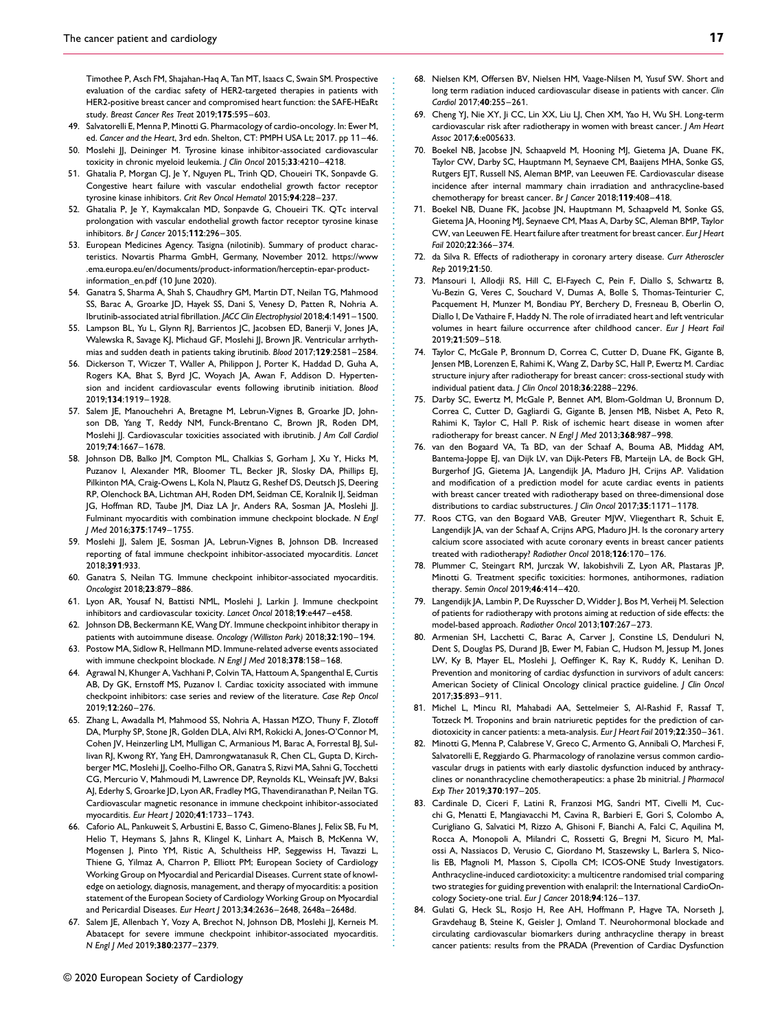Timothee P, Asch FM, Shajahan-Haq A, Tan MT, Isaacs C, Swain SM. Prospective evaluation of the cardiac safety of HER2-targeted therapies in patients with HER2-positive breast cancer and compromised heart function: the SAFE-HEaRt study. *Breast Cancer Res Treat* 2019;**175**:595–603.

- 49. Salvatorelli E, Menna P, Minotti G. Pharmacology of cardio-oncology. In: Ewer M, ed. *Cancer and the Heart*, 3rd edn. Shelton, CT: PMPH USA Lt; 2017. pp 11–46.
- 50. Moslehi JJ, Deininger M. Tyrosine kinase inhibitor-associated cardiovascular toxicity in chronic myeloid leukemia. *J Clin Oncol* 2015;**33**:4210–4218.
- 51. Ghatalia P, Morgan CJ, Je Y, Nguyen PL, Trinh QD, Choueiri TK, Sonpavde G. Congestive heart failure with vascular endothelial growth factor receptor tyrosine kinase inhibitors. *Crit Rev Oncol Hematol* 2015;**94**:228–237.
- 52. Ghatalia P, Je Y, Kaymakcalan MD, Sonpavde G, Choueiri TK. QTc interval prolongation with vascular endothelial growth factor receptor tyrosine kinase inhibitors. *Br J Cancer* 2015;**112**:296–305.
- 53. European Medicines Agency. Tasigna (nilotinib). Summary of product characteristics. Novartis Pharma GmbH, Germany, November 2012. [https://www](https://www.ema.europa.eu/en/documents/product-information/herceptin-epar-product-information_en.pdf) [.ema.europa.eu/en/documents/product-information/herceptin-epar-product](https://www.ema.europa.eu/en/documents/product-information/herceptin-epar-product-information_en.pdf)[information\\_en.pdf](https://www.ema.europa.eu/en/documents/product-information/herceptin-epar-product-information_en.pdf) (10 June 2020).
- 54. Ganatra S, Sharma A, Shah S, Chaudhry GM, Martin DT, Neilan TG, Mahmood SS, Barac A, Groarke JD, Hayek SS, Dani S, Venesy D, Patten R, Nohria A. Ibrutinib-associated atrial fibrillation. *JACC Clin Electrophysiol* 2018;**4**:1491–1500.
- 55. Lampson BL, Yu L, Glynn RJ, Barrientos JC, Jacobsen ED, Banerji V, Jones JA, Walewska R, Savage KJ, Michaud GF, Moslehi JJ, Brown JR. Ventricular arrhythmias and sudden death in patients taking ibrutinib. *Blood* 2017;**129**:2581–2584.
- 56. Dickerson T, Wiczer T, Waller A, Philippon J, Porter K, Haddad D, Guha A, Rogers KA, Bhat S, Byrd JC, Woyach JA, Awan F, Addison D. Hypertension and incident cardiovascular events following ibrutinib initiation. *Blood* 2019;**134**:1919–1928.
- 57. Salem JE, Manouchehri A, Bretagne M, Lebrun-Vignes B, Groarke JD, Johnson DB, Yang T, Reddy NM, Funck-Brentano C, Brown JR, Roden DM, Moslehi JJ. Cardiovascular toxicities associated with ibrutinib. *J Am Coll Cardiol* 2019;**74**:1667–1678.
- 58. Johnson DB, Balko JM, Compton ML, Chalkias S, Gorham J, Xu Y, Hicks M, Puzanov I, Alexander MR, Bloomer TL, Becker JR, Slosky DA, Phillips EJ, Pilkinton MA, Craig-Owens L, Kola N, Plautz G, Reshef DS, Deutsch JS, Deering RP, Olenchock BA, Lichtman AH, Roden DM, Seidman CE, Koralnik IJ, Seidman JG, Hoffman RD, Taube JM, Diaz LA Jr, Anders RA, Sosman JA, Moslehi JJ. Fulminant myocarditis with combination immune checkpoint blockade. *N Engl J Med* 2016;**375**:1749–1755.

............................................................... ................................................................ .........................................

- 59. Moslehi JJ, Salem JE, Sosman JA, Lebrun-Vignes B, Johnson DB. Increased reporting of fatal immune checkpoint inhibitor-associated myocarditis. *Lancet* 2018;**391**:933.
- 60. Ganatra S, Neilan TG. Immune checkpoint inhibitor-associated myocarditis. *Oncologist* 2018;**23**:879–886.
- 61. Lyon AR, Yousaf N, Battisti NML, Moslehi J, Larkin J. Immune checkpoint inhibitors and cardiovascular toxicity. *Lancet Oncol* 2018;**19**:e447–e458.
- 62. Johnson DB, Beckermann KE, Wang DY. Immune checkpoint inhibitor therapy in patients with autoimmune disease. *Oncology (Williston Park)* 2018;**32**:190–194.
- 63. Postow MA, Sidlow R, Hellmann MD. Immune-related adverse events associated with immune checkpoint blockade. *N Engl J Med* 2018;**378**:158–168.
- 64. Agrawal N, Khunger A, Vachhani P, Colvin TA, Hattoum A, Spangenthal E, Curtis AB, Dy GK, Ernstoff MS, Puzanov I. Cardiac toxicity associated with immune checkpoint inhibitors: case series and review of the literature. *Case Rep Oncol* 2019;**12**:260–276.
- 65. Zhang L, Awadalla M, Mahmood SS, Nohria A, Hassan MZO, Thuny F, Zlotoff DA, Murphy SP, Stone IR, Golden DLA, Alvi RM, Rokicki A, Jones-O'Connor M, Cohen JV, Heinzerling LM, Mulligan C, Armanious M, Barac A, Forrestal BJ, Sullivan RJ, Kwong RY, Yang EH, Damrongwatanasuk R, Chen CL, Gupta D, Kirchberger MC, Moslehi JJ, Coelho-Filho OR, Ganatra S, Rizvi MA, Sahni G, Tocchetti CG, Mercurio V, Mahmoudi M, Lawrence DP, Reynolds KL, Weinsaft JW, Baksi AJ, Ederhy S, Groarke JD, Lyon AR, Fradley MG, Thavendiranathan P, Neilan TG. Cardiovascular magnetic resonance in immune checkpoint inhibitor-associated myocarditis. *Eur Heart J* 2020;**41**:1733–1743.
- 66. Caforio AL, Pankuweit S, Arbustini E, Basso C, Gimeno-Blanes J, Felix SB, Fu M, Helio T, Heymans S, Jahns R, Klingel K, Linhart A, Maisch B, McKenna W, Mogensen J, Pinto YM, Ristic A, Schultheiss HP, Seggewiss H, Tavazzi L, Thiene G, Yilmaz A, Charron P, Elliott PM; European Society of Cardiology Working Group on Myocardial and Pericardial Diseases. Current state of knowledge on aetiology, diagnosis, management, and therapy of myocarditis: a position statement of the European Society of Cardiology Working Group on Myocardial and Pericardial Diseases. *Eur Heart J* 2013;**34**:2636–2648, 2648a–2648d.
- 67. Salem JE, Allenbach Y, Vozy A, Brechot N, Johnson DB, Moslehi JJ, Kerneis M. Abatacept for severe immune checkpoint inhibitor-associated myocarditis. *N Engl J Med* 2019;**380**:2377–2379.
- 68. Nielsen KM, Offersen BV, Nielsen HM, Vaage-Nilsen M, Yusuf SW. Short and long term radiation induced cardiovascular disease in patients with cancer. *Clin Cardiol* 2017;**40**:255–261.
- 69. Cheng YJ, Nie XY, Ji CC, Lin XX, Liu LJ, Chen XM, Yao H, Wu SH. Long-term cardiovascular risk after radiotherapy in women with breast cancer. *J Am Heart Assoc* 2017;**6**:e005633.
- 70. Boekel NB, Jacobse JN, Schaapveld M, Hooning MJ, Gietema JA, Duane FK, Taylor CW, Darby SC, Hauptmann M, Seynaeve CM, Baaijens MHA, Sonke GS, Rutgers EJT, Russell NS, Aleman BMP, van Leeuwen FE. Cardiovascular disease incidence after internal mammary chain irradiation and anthracycline-based chemotherapy for breast cancer. *Br J Cancer* 2018;**119**:408–418.
- 71. Boekel NB, Duane FK, Jacobse JN, Hauptmann M, Schaapveld M, Sonke GS, Gietema JA, Hooning MJ, Seynaeve CM, Maas A, Darby SC, Aleman BMP, Taylor CW, van Leeuwen FE. Heart failure after treatment for breast cancer. *Eur J Heart Fail* 2020;**22**:366–374.
- 72. da Silva R. Effects of radiotherapy in coronary artery disease. *Curr Atheroscler Rep* 2019;**21**:50.
- 73. Mansouri I, Allodji RS, Hill C, El-Fayech C, Pein F, Diallo S, Schwartz B, Vu-Bezin G, Veres C, Souchard V, Dumas A, Bolle S, Thomas-Teinturier C, Pacquement H, Munzer M, Bondiau PY, Berchery D, Fresneau B, Oberlin O, Diallo I, De Vathaire F, Haddy N. The role of irradiated heart and left ventricular volumes in heart failure occurrence after childhood cancer. *Eur J Heart Fail* 2019;**21**:509–518.
- 74. Taylor C, McGale P, Bronnum D, Correa C, Cutter D, Duane FK, Gigante B, Jensen MB, Lorenzen E, Rahimi K, Wang Z, Darby SC, Hall P, Ewertz M. Cardiac structure injury after radiotherapy for breast cancer: cross-sectional study with individual patient data. *J Clin Oncol* 2018;**36**:2288–2296.
- 75. Darby SC, Ewertz M, McGale P, Bennet AM, Blom-Goldman U, Bronnum D, Correa C, Cutter D, Gagliardi G, Gigante B, Jensen MB, Nisbet A, Peto R, Rahimi K, Taylor C, Hall P. Risk of ischemic heart disease in women after radiotherapy for breast cancer. *N Engl J Med* 2013;**368**:987–998.
- 76. van den Bogaard VA, Ta BD, van der Schaaf A, Bouma AB, Middag AM, Bantema-Joppe EJ, van Dijk LV, van Dijk-Peters FB, Marteijn LA, de Bock GH, Burgerhof JG, Gietema JA, Langendijk JA, Maduro JH, Crijns AP. Validation and modification of a prediction model for acute cardiac events in patients with breast cancer treated with radiotherapy based on three-dimensional dose distributions to cardiac substructures. *J Clin Oncol* 2017;**35**:1171–1178.
- 77. Roos CTG, van den Bogaard VAB, Greuter MJW, Vliegenthart R, Schuit E, Langendijk JA, van der Schaaf A, Crijns APG, Maduro JH. Is the coronary artery calcium score associated with acute coronary events in breast cancer patients treated with radiotherapy? *Radiother Oncol* 2018;**126**:170–176.
- 78. Plummer C, Steingart RM, Jurczak W, Iakobishvili Z, Lyon AR, Plastaras JP, Minotti G. Treatment specific toxicities: hormones, antihormones, radiation therapy. *Semin Oncol* 2019;**46**:414–420.
- 79. Langendijk JA, Lambin P, De Ruysscher D, Widder J, Bos M, Verheij M. Selection of patients for radiotherapy with protons aiming at reduction of side effects: the model-based approach. *Radiother Oncol* 2013;**107**:267–273.
- 80. Armenian SH, Lacchetti C, Barac A, Carver J, Constine LS, Denduluri N, Dent S, Douglas PS, Durand JB, Ewer M, Fabian C, Hudson M, Jessup M, Jones LW, Ky B, Mayer EL, Moslehi J, Oeffinger K, Ray K, Ruddy K, Lenihan D. Prevention and monitoring of cardiac dysfunction in survivors of adult cancers: American Society of Clinical Oncology clinical practice guideline. *J Clin Oncol* 2017;**35**:893–911.
- 81. Michel L, Mincu RI, Mahabadi AA, Settelmeier S, Al-Rashid F, Rassaf T, Totzeck M. Troponins and brain natriuretic peptides for the prediction of cardiotoxicity in cancer patients: a meta-analysis. *Eur J Heart Fail* 2019;**22**:350–361.
- 82. Minotti G, Menna P, Calabrese V, Greco C, Armento G, Annibali O, Marchesi F, Salvatorelli E, Reggiardo G. Pharmacology of ranolazine versus common cardiovascular drugs in patients with early diastolic dysfunction induced by anthracyclines or nonanthracycline chemotherapeutics: a phase 2b minitrial. *J Pharmacol Exp Ther* 2019;**370**:197–205.
- 83. Cardinale D, Ciceri F, Latini R, Franzosi MG, Sandri MT, Civelli M, Cucchi G, Menatti E, Mangiavacchi M, Cavina R, Barbieri E, Gori S, Colombo A, Curigliano G, Salvatici M, Rizzo A, Ghisoni F, Bianchi A, Falci C, Aquilina M, Rocca A, Monopoli A, Milandri C, Rossetti G, Bregni M, Sicuro M, Malossi A, Nassiacos D, Verusio C, Giordano M, Staszewsky L, Barlera S, Nicolis EB, Magnoli M, Masson S, Cipolla CM; ICOS-ONE Study Investigators. Anthracycline-induced cardiotoxicity: a multicentre randomised trial comparing two strategies for guiding prevention with enalapril: the International CardioOncology Society-one trial. *Eur J Cancer* 2018;**94**:126–137.
- 84. Gulati G, Heck SL, Rosjo H, Ree AH, Hoffmann P, Hagve TA, Norseth J, Gravdehaug B, Steine K, Geisler J, Omland T. Neurohormonal blockade and circulating cardiovascular biomarkers during anthracycline therapy in breast cancer patients: results from the PRADA (Prevention of Cardiac Dysfunction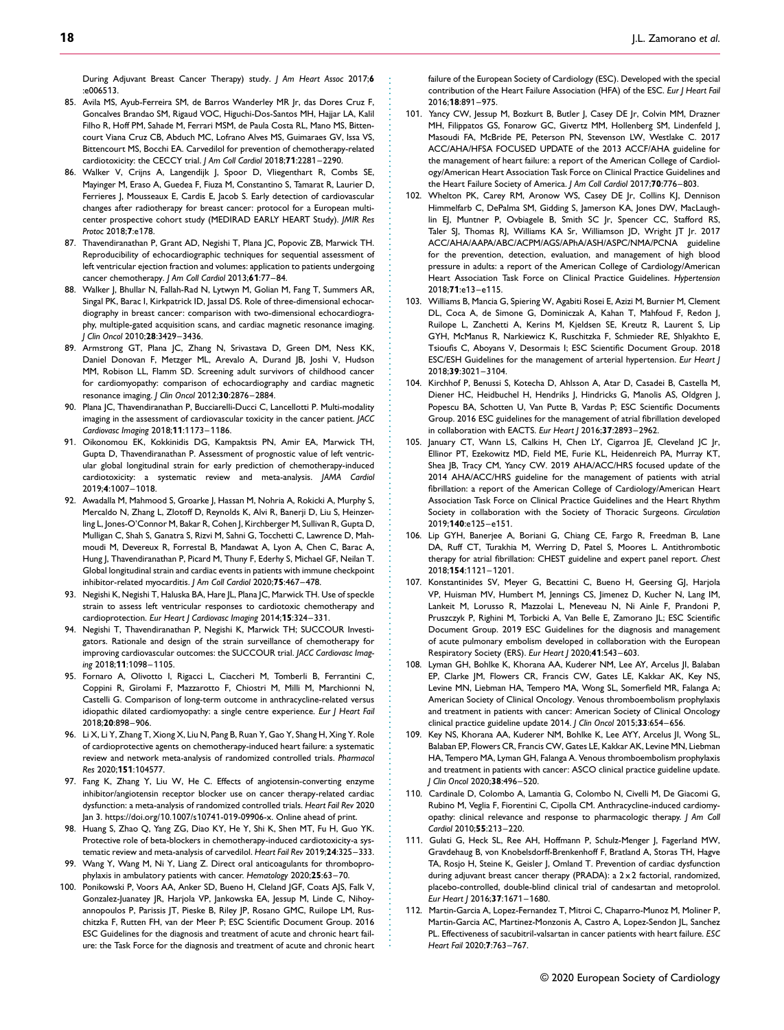During Adjuvant Breast Cancer Therapy) study. *J Am Heart Assoc* 2017;**6** :e006513.

- 85. Avila MS, Ayub-Ferreira SM, de Barros Wanderley MR Jr, das Dores Cruz F, Goncalves Brandao SM, Rigaud VOC, Higuchi-Dos-Santos MH, Hajjar LA, Kalil Filho R, Hoff PM, Sahade M, Ferrari MSM, de Paula Costa RL, Mano MS, Bittencourt Viana Cruz CB, Abduch MC, Lofrano Alves MS, Guimaraes GV, Issa VS, Bittencourt MS, Bocchi EA. Carvedilol for prevention of chemotherapy-related cardiotoxicity: the CECCY trial. *J Am Coll Cardiol* 2018;**71**:2281–2290.
- 86. Walker V, Crijns A, Langendijk J, Spoor D, Vliegenthart R, Combs SE, Mayinger M, Eraso A, Guedea F, Fiuza M, Constantino S, Tamarat R, Laurier D, Ferrieres J, Mousseaux E, Cardis E, Jacob S. Early detection of cardiovascular changes after radiotherapy for breast cancer: protocol for a European multicenter prospective cohort study (MEDIRAD EARLY HEART Study). *JMIR Res Protoc* 2018;**7**:e178.
- 87. Thavendiranathan P, Grant AD, Negishi T, Plana JC, Popovic ZB, Marwick TH. Reproducibility of echocardiographic techniques for sequential assessment of left ventricular ejection fraction and volumes: application to patients undergoing cancer chemotherapy. *J Am Coll Cardiol* 2013;**61**:77–84.
- 88. Walker J, Bhullar N, Fallah-Rad N, Lytwyn M, Golian M, Fang T, Summers AR, Singal PK, Barac I, Kirkpatrick ID, Jassal DS. Role of three-dimensional echocardiography in breast cancer: comparison with two-dimensional echocardiography, multiple-gated acquisition scans, and cardiac magnetic resonance imaging. *J Clin Oncol* 2010;**28**:3429–3436.
- 89. Armstrong GT, Plana JC, Zhang N, Srivastava D, Green DM, Ness KK, Daniel Donovan F, Metzger ML, Arevalo A, Durand JB, Joshi V, Hudson MM, Robison LL, Flamm SD. Screening adult survivors of childhood cancer for cardiomyopathy: comparison of echocardiography and cardiac magnetic resonance imaging. *J Clin Oncol* 2012;**30**:2876–2884.
- 90. Plana JC, Thavendiranathan P, Bucciarelli-Ducci C, Lancellotti P. Multi-modality imaging in the assessment of cardiovascular toxicity in the cancer patient. *JACC Cardiovasc Imaging* 2018;**11**:1173–1186.
- 91. Oikonomou EK, Kokkinidis DG, Kampaktsis PN, Amir EA, Marwick TH, Gupta D, Thavendiranathan P. Assessment of prognostic value of left ventricular global longitudinal strain for early prediction of chemotherapy-induced cardiotoxicity: a systematic review and meta-analysis. *JAMA Cardiol* 2019;**4**:1007–1018.
- 92. Awadalla M, Mahmood S, Groarke J, Hassan M, Nohria A, Rokicki A, Murphy S, Mercaldo N, Zhang L, Zlotoff D, Reynolds K, Alvi R, Banerji D, Liu S, Heinzerling L, Jones-O'Connor M, Bakar R, Cohen J, Kirchberger M, Sullivan R, Gupta D, Mulligan C, Shah S, Ganatra S, Rizvi M, Sahni G, Tocchetti C, Lawrence D, Mahmoudi M, Devereux R, Forrestal B, Mandawat A, Lyon A, Chen C, Barac A, Hung J, Thavendiranathan P, Picard M, Thuny F, Ederhy S, Michael GF, Neilan T. Global longitudinal strain and cardiac events in patients with immune checkpoint inhibitor-related myocarditis. *J Am Coll Cardiol* 2020;**75**:467–478.

............................................................... ................................................................ .........................................

- 93. Negishi K, Negishi T, Haluska BA, Hare JL, Plana JC, Marwick TH. Use of speckle strain to assess left ventricular responses to cardiotoxic chemotherapy and cardioprotection. *Eur Heart J Cardiovasc Imaging* 2014;**15**:324–331.
- 94. Negishi T, Thavendiranathan P, Negishi K, Marwick TH; SUCCOUR Investigators. Rationale and design of the strain surveillance of chemotherapy for improving cardiovascular outcomes: the SUCCOUR trial. *JACC Cardiovasc Imaging* 2018;**11**:1098–1105.
- 95. Fornaro A, Olivotto I, Rigacci L, Ciaccheri M, Tomberli B, Ferrantini C, Coppini R, Girolami F, Mazzarotto F, Chiostri M, Milli M, Marchionni N, Castelli G. Comparison of long-term outcome in anthracycline-related versus idiopathic dilated cardiomyopathy: a single centre experience. *Eur J Heart Fail* 2018;**20**:898–906.
- 96. Li X, Li Y, Zhang T, Xiong X, Liu N, Pang B, Ruan Y, Gao Y, Shang H, Xing Y. Role of cardioprotective agents on chemotherapy-induced heart failure: a systematic review and network meta-analysis of randomized controlled trials. *Pharmacol Res* 2020;**151**:104577.
- 97. Fang K, Zhang Y, Liu W, He C. Effects of angiotensin-converting enzyme inhibitor/angiotensin receptor blocker use on cancer therapy-related cardiac dysfunction: a meta-analysis of randomized controlled trials. *Heart Fail Rev* 2020 Jan 3. https://doi.org/10.1007/s10741-019-09906-x. Online ahead of print.
- 98. Huang S, Zhao Q, Yang ZG, Diao KY, He Y, Shi K, Shen MT, Fu H, Guo YK. Protective role of beta-blockers in chemotherapy-induced cardiotoxicity-a systematic review and meta-analysis of carvedilol. *Heart Fail Rev* 2019;**24**:325–333.
- 99. Wang Y, Wang M, Ni Y, Liang Z. Direct oral anticoagulants for thromboprophylaxis in ambulatory patients with cancer. *Hematology* 2020;**25**:63–70.
- 100. Ponikowski P, Voors AA, Anker SD, Bueno H, Cleland JGF, Coats AJS, Falk V, Gonzalez-Juanatey JR, Harjola VP, Jankowska EA, Jessup M, Linde C, Nihoyannopoulos P, Parissis JT, Pieske B, Riley JP, Rosano GMC, Ruilope LM, Ruschitzka F, Rutten FH, van der Meer P; ESC Scientific Document Group. 2016 ESC Guidelines for the diagnosis and treatment of acute and chronic heart failure: the Task Force for the diagnosis and treatment of acute and chronic heart

failure of the European Society of Cardiology (ESC). Developed with the special contribution of the Heart Failure Association (HFA) of the ESC. *Eur J Heart Fail* 2016;**18**:891–975.

- 101. Yancy CW, Jessup M, Bozkurt B, Butler J, Casey DE Jr, Colvin MM, Drazner MH, Filippatos GS, Fonarow GC, Givertz MM, Hollenberg SM, Lindenfeld J, Masoudi FA, McBride PE, Peterson PN, Stevenson LW, Westlake C. 2017 ACC/AHA/HFSA FOCUSED UPDATE of the 2013 ACCF/AHA guideline for the management of heart failure: a report of the American College of Cardiology/American Heart Association Task Force on Clinical Practice Guidelines and the Heart Failure Society of America. *J Am Coll Cardiol* 2017;**70**:776–803.
- 102. Whelton PK, Carey RM, Aronow WS, Casey DE |r, Collins K|, Dennison Himmelfarb C, DePalma SM, Gidding S, Jamerson KA, Jones DW, MacLaughlin EJ, Muntner P, Ovbiagele B, Smith SC |r, Spencer CC, Stafford RS, Taler SJ, Thomas RJ, Williams KA Sr, Williamson JD, Wright JT Jr. 2017 ACC/AHA/AAPA/ABC/ACPM/AGS/APhA/ASH/ASPC/NMA/PCNA guideline for the prevention, detection, evaluation, and management of high blood pressure in adults: a report of the American College of Cardiology/American Heart Association Task Force on Clinical Practice Guidelines. *Hypertension* 2018;**71**:e13–e115.
- 103. Williams B, Mancia G, Spiering W, Agabiti Rosei E, Azizi M, Burnier M, Clement DL, Coca A, de Simone G, Dominiczak A, Kahan T, Mahfoud F, Redon J, Ruilope L, Zanchetti A, Kerins M, Kjeldsen SE, Kreutz R, Laurent S, Lip GYH, McManus R, Narkiewicz K, Ruschitzka F, Schmieder RE, Shlyakhto E, Tsioufis C, Aboyans V, Desormais I; ESC Scientific Document Group. 2018 ESC/ESH Guidelines for the management of arterial hypertension. *Eur Heart J* 2018;**39**:3021–3104.
- 104. Kirchhof P, Benussi S, Kotecha D, Ahlsson A, Atar D, Casadei B, Castella M, Diener HC, Heidbuchel H, Hendriks J, Hindricks G, Manolis AS, Oldgren J, Popescu BA, Schotten U, Van Putte B, Vardas P; ESC Scientific Documents Group. 2016 ESC guidelines for the management of atrial fibrillation developed in collaboration with EACTS. *Eur Heart J* 2016;**37**:2893–2962.
- 105. January CT, Wann LS, Calkins H, Chen LY, Cigarroa JE, Cleveland JC Jr, Ellinor PT, Ezekowitz MD, Field ME, Furie KL, Heidenreich PA, Murray KT, Shea JB, Tracy CM, Yancy CW. 2019 AHA/ACC/HRS focused update of the 2014 AHA/ACC/HRS guideline for the management of patients with atrial fibrillation: a report of the American College of Cardiology/American Heart Association Task Force on Clinical Practice Guidelines and the Heart Rhythm Society in collaboration with the Society of Thoracic Surgeons. *Circulation* 2019;**140**:e125–e151.
- 106. Lip GYH, Banerjee A, Boriani G, Chiang CE, Fargo R, Freedman B, Lane DA, Ruff CT, Turakhia M, Werring D, Patel S, Moores L. Antithrombotic therapy for atrial fibrillation: CHEST guideline and expert panel report. *Chest* 2018;**154**:1121–1201.
- 107. Konstantinides SV, Meyer G, Becattini C, Bueno H, Geersing GJ, Harjola VP, Huisman MV, Humbert M, Jennings CS, Jimenez D, Kucher N, Lang IM, Lankeit M, Lorusso R, Mazzolai L, Meneveau N, Ni Ainle F, Prandoni P, Pruszczyk P, Righini M, Torbicki A, Van Belle E, Zamorano JL; ESC Scientific Document Group. 2019 ESC Guidelines for the diagnosis and management of acute pulmonary embolism developed in collaboration with the European Respiratory Society (ERS). *Eur Heart J* 2020;**41**:543–603.
- 108. Lyman GH, Bohlke K, Khorana AA, Kuderer NM, Lee AY, Arcelus JI, Balaban EP, Clarke JM, Flowers CR, Francis CW, Gates LE, Kakkar AK, Key NS, Levine MN, Liebman HA, Tempero MA, Wong SL, Somerfield MR, Falanga A; American Society of Clinical Oncology. Venous thromboembolism prophylaxis and treatment in patients with cancer: American Society of Clinical Oncology clinical practice guideline update 2014. *J Clin Oncol* 2015;**33**:654–656.
- 109. Key NS, Khorana AA, Kuderer NM, Bohlke K, Lee AYY, Arcelus JI, Wong SL, Balaban EP, Flowers CR, Francis CW, Gates LE, Kakkar AK, Levine MN, Liebman HA, Tempero MA, Lyman GH, Falanga A. Venous thromboembolism prophylaxis and treatment in patients with cancer: ASCO clinical practice guideline update. *J Clin Oncol* 2020;**38**:496–520.
- 110. Cardinale D, Colombo A, Lamantia G, Colombo N, Civelli M, De Giacomi G, Rubino M, Veglia F, Fiorentini C, Cipolla CM. Anthracycline-induced cardiomyopathy: clinical relevance and response to pharmacologic therapy. *J Am Coll Cardiol* 2010;**55**:213–220.
- 111. Gulati G, Heck SL, Ree AH, Hoffmann P, Schulz-Menger J, Fagerland MW, Gravdehaug B, von Knobelsdorff-Brenkenhoff F, Bratland A, Storas TH, Hagve TA, Rosjo H, Steine K, Geisler J, Omland T. Prevention of cardiac dysfunction during adjuvant breast cancer therapy (PRADA): a 2 x 2 factorial, randomized, placebo-controlled, double-blind clinical trial of candesartan and metoprolol. *Eur Heart J* 2016;**37**:1671–1680.
- 112. Martin-Garcia A, Lopez-Fernandez T, Mitroi C, Chaparro-Munoz M, Moliner P, Martin-Garcia AC, Martinez-Monzonis A, Castro A, Lopez-Sendon JL, Sanchez PL. Effectiveness of sacubitril-valsartan in cancer patients with heart failure. *ESC Heart Fail* 2020;**7**:763–767.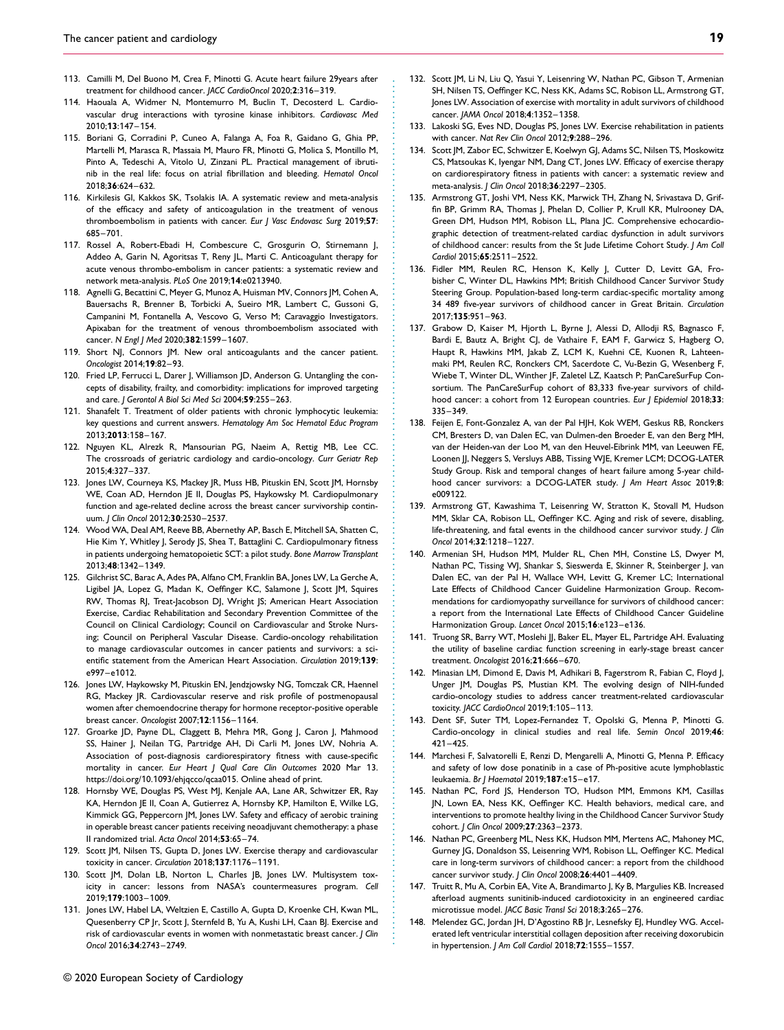- 113. Camilli M, Del Buono M, Crea F, Minotti G. Acute heart failure 29years after treatment for childhood cancer. *JACC CardioOncol* 2020;**2**:316–319.
- 114. Haouala A, Widmer N, Montemurro M, Buclin T, Decosterd L. Cardiovascular drug interactions with tyrosine kinase inhibitors. *Cardiovasc Med* 2010;**13**:147–154.
- 115. Boriani G, Corradini P, Cuneo A, Falanga A, Foa R, Gaidano G, Ghia PP, Martelli M, Marasca R, Massaia M, Mauro FR, Minotti G, Molica S, Montillo M, Pinto A, Tedeschi A, Vitolo U, Zinzani PL. Practical management of ibrutinib in the real life: focus on atrial fibrillation and bleeding. *Hematol Oncol* 2018;**36**:624–632.
- 116. Kirkilesis GI, Kakkos SK, Tsolakis IA. A systematic review and meta-analysis of the efficacy and safety of anticoagulation in the treatment of venous thromboembolism in patients with cancer. *Eur J Vasc Endovasc Surg* 2019;**57**: 685–701.
- 117. Rossel A, Robert-Ebadi H, Combescure C, Grosgurin O, Stirnemann J, Addeo A, Garin N, Agoritsas T, Reny JL, Marti C. Anticoagulant therapy for acute venous thrombo-embolism in cancer patients: a systematic review and network meta-analysis. *PLoS One* 2019;**14**:e0213940.
- 118. Agnelli G, Becattini C, Meyer G, Munoz A, Huisman MV, Connors JM, Cohen A, Bauersachs R, Brenner B, Torbicki A, Sueiro MR, Lambert C, Gussoni G, Campanini M, Fontanella A, Vescovo G, Verso M; Caravaggio Investigators. Apixaban for the treatment of venous thromboembolism associated with cancer. *N Engl J Med* 2020;**382**:1599–1607.
- 119. Short NJ, Connors JM. New oral anticoagulants and the cancer patient. *Oncologist* 2014;**19**:82–93.
- 120. Fried LP, Ferrucci L, Darer J, Williamson JD, Anderson G. Untangling the concepts of disability, frailty, and comorbidity: implications for improved targeting and care. *J Gerontol A Biol Sci Med Sci* 2004;**59**:255–263.
- 121. Shanafelt T. Treatment of older patients with chronic lymphocytic leukemia: key questions and current answers. *Hematology Am Soc Hematol Educ Program* 2013;**2013**:158–167.
- 122. Nguyen KL, Alrezk R, Mansourian PG, Naeim A, Rettig MB, Lee CC. The crossroads of geriatric cardiology and cardio-oncology. *Curr Geriatr Rep* 2015;**4**:327–337.
- 123. Jones LW, Courneya KS, Mackey JR, Muss HB, Pituskin EN, Scott JM, Hornsby WE, Coan AD, Herndon JE II, Douglas PS, Haykowsky M. Cardiopulmonary function and age-related decline across the breast cancer survivorship continuum. *J Clin Oncol* 2012;**30**:2530–2537.

................................................................. .............................................................. ........................................

- 124. Wood WA, Deal AM, Reeve BB, Abernethy AP, Basch E, Mitchell SA, Shatten C, Hie Kim Y, Whitley J, Serody JS, Shea T, Battaglini C. Cardiopulmonary fitness in patients undergoing hematopoietic SCT: a pilot study. *Bone Marrow Transplant* 2013;**48**:1342–1349.
- 125. Gilchrist SC, Barac A, Ades PA, Alfano CM, Franklin BA, Jones LW, La Gerche A, Ligibel JA, Lopez G, Madan K, Oeffinger KC, Salamone J, Scott JM, Squires RW, Thomas RJ, Treat-Jacobson DJ, Wright JS; American Heart Association Exercise, Cardiac Rehabilitation and Secondary Prevention Committee of the Council on Clinical Cardiology; Council on Cardiovascular and Stroke Nursing; Council on Peripheral Vascular Disease. Cardio-oncology rehabilitation to manage cardiovascular outcomes in cancer patients and survivors: a scientific statement from the American Heart Association. *Circulation* 2019;**139**: e997–e1012.
- 126. Jones LW, Haykowsky M, Pituskin EN, Jendzjowsky NG, Tomczak CR, Haennel RG, Mackey JR. Cardiovascular reserve and risk profile of postmenopausal women after chemoendocrine therapy for hormone receptor-positive operable breast cancer. *Oncologist* 2007;**12**:1156–1164.
- 127. Groarke JD, Payne DL, Claggett B, Mehra MR, Gong J, Caron J, Mahmood SS, Hainer J, Neilan TG, Partridge AH, Di Carli M, Jones LW, Nohria A. Association of post-diagnosis cardiorespiratory fitness with cause-specific mortality in cancer. *Eur Heart J Qual Care Clin Outcomes* 2020 Mar 13. https://doi.org/10.1093/ehjqcco/qcaa015. Online ahead of print.
- 128. Hornsby WE, Douglas PS, West MJ, Kenjale AA, Lane AR, Schwitzer ER, Ray KA, Herndon JE II, Coan A, Gutierrez A, Hornsby KP, Hamilton E, Wilke LG, Kimmick GG, Peppercorn JM, Jones LW. Safety and efficacy of aerobic training in operable breast cancer patients receiving neoadjuvant chemotherapy: a phase II randomized trial. *Acta Oncol* 2014;**53**:65–74.
- 129. Scott JM, Nilsen TS, Gupta D, Jones LW. Exercise therapy and cardiovascular toxicity in cancer. *Circulation* 2018;**137**:1176–1191.
- 130. Scott JM, Dolan LB, Norton L, Charles JB, Jones LW. Multisystem toxicity in cancer: lessons from NASA's countermeasures program. *Cell* 2019;**179**:1003–1009.
- 131. Jones LW, Habel LA, Weltzien E, Castillo A, Gupta D, Kroenke CH, Kwan ML, Quesenberry CP Jr, Scott J, Sternfeld B, Yu A, Kushi LH, Caan BJ. Exercise and risk of cardiovascular events in women with nonmetastatic breast cancer. *J Clin Oncol* 2016;**34**:2743–2749.
- 132. Scott JM, Li N, Liu Q, Yasui Y, Leisenring W, Nathan PC, Gibson T, Armenian SH, Nilsen TS, Oeffinger KC, Ness KK, Adams SC, Robison LL, Armstrong GT, Jones LW. Association of exercise with mortality in adult survivors of childhood cancer. *JAMA Oncol* 2018;**4**:1352–1358.
- 133. Lakoski SG, Eves ND, Douglas PS, Jones LW. Exercise rehabilitation in patients with cancer. *Nat Rev Clin Oncol* 2012;**9**:288–296.
- 134. Scott JM, Zabor EC, Schwitzer E, Koelwyn GJ, Adams SC, Nilsen TS, Moskowitz CS, Matsoukas K, Iyengar NM, Dang CT, Jones LW. Efficacy of exercise therapy on cardiorespiratory fitness in patients with cancer: a systematic review and meta-analysis. *J Clin Oncol* 2018;**36**:2297–2305.
- 135. Armstrong GT, Joshi VM, Ness KK, Marwick TH, Zhang N, Srivastava D, Griffin BP, Grimm RA, Thomas J, Phelan D, Collier P, Krull KR, Mulrooney DA, Green DM, Hudson MM, Robison LL, Plana JC. Comprehensive echocardiographic detection of treatment-related cardiac dysfunction in adult survivors of childhood cancer: results from the St Jude Lifetime Cohort Study. *J Am Coll Cardiol* 2015;**65**:2511–2522.
- 136. Fidler MM, Reulen RC, Henson K, Kelly J, Cutter D, Levitt GA, Frobisher C, Winter DL, Hawkins MM; British Childhood Cancer Survivor Study Steering Group. Population-based long-term cardiac-specific mortality among 34 489 five-year survivors of childhood cancer in Great Britain. *Circulation* 2017;**135**:951–963.
- 137. Grabow D, Kaiser M, Hjorth L, Byrne J, Alessi D, Allodji RS, Bagnasco F, Bardi E, Bautz A, Bright CJ, de Vathaire F, EAM F, Garwicz S, Hagberg O, Haupt R, Hawkins MM, Jakab Z, LCM K, Kuehni CE, Kuonen R, Lahteenmaki PM, Reulen RC, Ronckers CM, Sacerdote C, Vu-Bezin G, Wesenberg F, Wiebe T, Winter DL, Winther JF, Zaletel LZ, Kaatsch P; PanCareSurFup Consortium. The PanCareSurFup cohort of 83,333 five-year survivors of childhood cancer: a cohort from 12 European countries. *Eur J Epidemiol* 2018;**33**: 335–349.
- 138. Feijen E, Font-Gonzalez A, van der Pal HJH, Kok WEM, Geskus RB, Ronckers CM, Bresters D, van Dalen EC, van Dulmen-den Broeder E, van den Berg MH, van der Heiden-van der Loo M, van den Heuvel-Eibrink MM, van Leeuwen FE, Loonen JJ, Neggers S, Versluys ABB, Tissing WJE, Kremer LCM; DCOG-LATER Study Group. Risk and temporal changes of heart failure among 5-year childhood cancer survivors: a DCOG-LATER study. *J Am Heart Assoc* 2019;**8**: e009122.
- 139. Armstrong GT, Kawashima T, Leisenring W, Stratton K, Stovall M, Hudson MM, Sklar CA, Robison LL, Oeffinger KC. Aging and risk of severe, disabling, life-threatening, and fatal events in the childhood cancer survivor study. *J Clin Oncol* 2014;**32**:1218–1227.
- 140. Armenian SH, Hudson MM, Mulder RL, Chen MH, Constine LS, Dwyer M, Nathan PC, Tissing WJ, Shankar S, Sieswerda E, Skinner R, Steinberger J, van Dalen EC, van der Pal H, Wallace WH, Levitt G, Kremer LC; International Late Effects of Childhood Cancer Guideline Harmonization Group. Recommendations for cardiomyopathy surveillance for survivors of childhood cancer: a report from the International Late Effects of Childhood Cancer Guideline Harmonization Group. *Lancet Oncol* 2015;**16**:e123–e136.
- 141. Truong SR, Barry WT, Moslehi JJ, Baker EL, Mayer EL, Partridge AH. Evaluating the utility of baseline cardiac function screening in early-stage breast cancer treatment. *Oncologist* 2016;**21**:666–670.
- 142. Minasian LM, Dimond E, Davis M, Adhikari B, Fagerstrom R, Fabian C, Floyd J, Unger JM, Douglas PS, Mustian KM. The evolving design of NIH-funded cardio-oncology studies to address cancer treatment-related cardiovascular toxicity. *JACC CardioOncol* 2019;**1**:105–113.
- 143. Dent SF, Suter TM, Lopez-Fernandez T, Opolski G, Menna P, Minotti G. Cardio-oncology in clinical studies and real life. *Semin Oncol* 2019;**46**:  $421 - 425$
- 144. Marchesi F, Salvatorelli E, Renzi D, Mengarelli A, Minotti G, Menna P. Efficacy and safety of low dose ponatinib in a case of Ph-positive acute lymphoblastic leukaemia. *Br J Haematol* 2019;**187**:e15–e17.
- 145. Nathan PC, Ford JS, Henderson TO, Hudson MM, Emmons KM, Casillas JN, Lown EA, Ness KK, Oeffinger KC. Health behaviors, medical care, and interventions to promote healthy living in the Childhood Cancer Survivor Study cohort. *J Clin Oncol* 2009;**27**:2363–2373.
- 146. Nathan PC, Greenberg ML, Ness KK, Hudson MM, Mertens AC, Mahoney MC, Gurney JG, Donaldson SS, Leisenring WM, Robison LL, Oeffinger KC. Medical care in long-term survivors of childhood cancer: a report from the childhood cancer survivor study. *J Clin Oncol* 2008;**26**:4401–4409.
- 147. Truitt R, Mu A, Corbin EA, Vite A, Brandimarto J, Ky B, Margulies KB. Increased afterload augments sunitinib-induced cardiotoxicity in an engineered cardiac microtissue model. *JACC Basic Transl Sci* 2018;**3**:265–276.
- 148. Melendez GC, Jordan JH, D'Agostino RB Jr, Lesnefsky EJ, Hundley WG. Accelerated left ventricular interstitial collagen deposition after receiving doxorubicin in hypertension. *J Am Coll Cardiol* 2018;**72**:1555–1557.